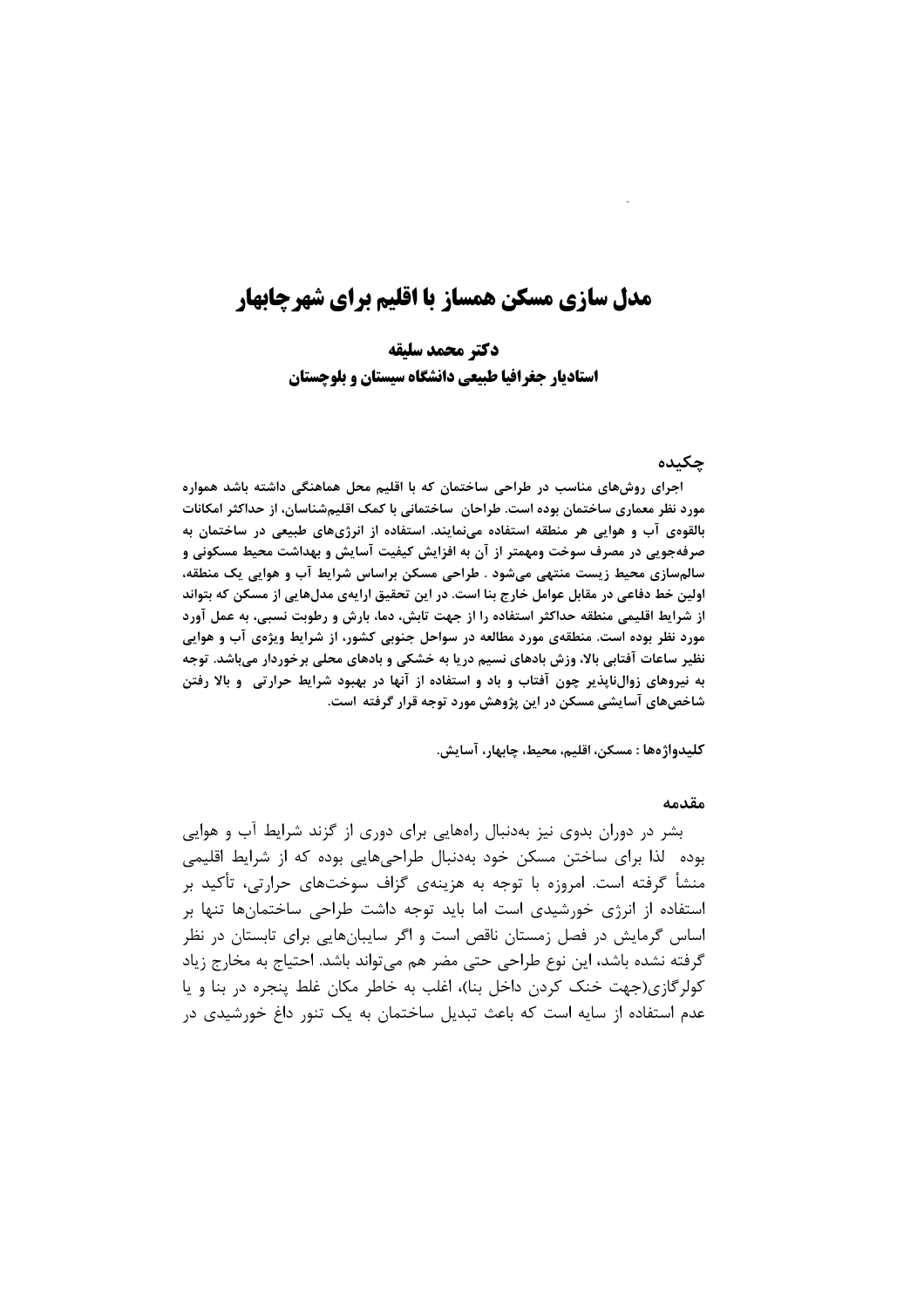# مدل سازی مسکن همساز با اقلیم برای شهرچابهار

دكتر محمد سليقه استادیار جغرافیا طبیعی دانشگاه سیستان و بلوچستان

#### چکىدە

اجرای روشهای مناسب در طراحی ساختمان که با اقلیم محل هماهنگی داشته باشد همواره مورد نظر معماری ساختمان بوده است. طراحان ِ ساختمانی با کمک اقلیمشناسان، از حداکثر امکانات بالقوهی آب و هوایی هر منطقه استفاده مینمایند. استفاده از انرژیهای طبیعی در ساختمان به صرفهجویی در مصرف سوخت ومهمتر از آن به افزایش کیفیت آسایش و بهداشت محیط مسکونی و سالمسازی محیط زیست منتهی میشود . طراحی مسکن براساس شرایط آب و هوایی یک منطقه، اولین خط دفاعی در مقابل عوامل خارج بنا است. در این تحقیق ارایهی مدلهایی از مسکن که بتواند از شرایط اقلیمی منطقه حداکثر استفاده را از جهت تابش، دما، بارش و رطوبت نسبی، به عمل اورد مورد نظر بوده است. منطقهی مورد مطالعه در سواحل جنوبی کشور، از شرایط ویژهی آب و هوایی نظیر ساعات آفتابی بالا، وزش بادهای نسیم دریا به خشکی و بادهای محلی برخوردار میباشد. توجه به نیروهای زوالناپذیر چون آفتاب و باد و استفاده از آنها در بهبود شرایط حرارتی۔و بالا رفتن شاخصهای آسایشی مسکن در این پژوهش مورد توجه قرار گرفته است.

كليدواژەها : مسكن، اقليم، محيط، چابهار، آسايش.

#### مقدمه

بشر در دوران بدوی نیز بهدنبال راههایی برای دوری از گزند شرایط آب و هوایی بوده لذا برای ساختن مسکن خود بهدنبال طراحیهایی بوده که از شرایط اقلیمی منشأ گرفته است. امروزه با توجه به هزینهی گزاف سوختهای حرارتی، تأکید بر استفاده از انرژی خورشیدی است اما باید توجه داشت طراحی ساختمانها تنها بر اساس گرمایش در فصل زمستان ناقص است و اگر سایبانهایی برای تابستان در نظر گرفته نشده باشد، این نوع طراحی حتی مضر هم می تواند باشد. احتیاج به مخارج زیاد کولرگازی(جهت خنک کردن داخل بنا)، اغلب به خاطر مکان غلط پنجره در بنا و پا عدم استفاده از سایه است که باعث تبدیل ساختمان به یک تنور داغ خورشیدی در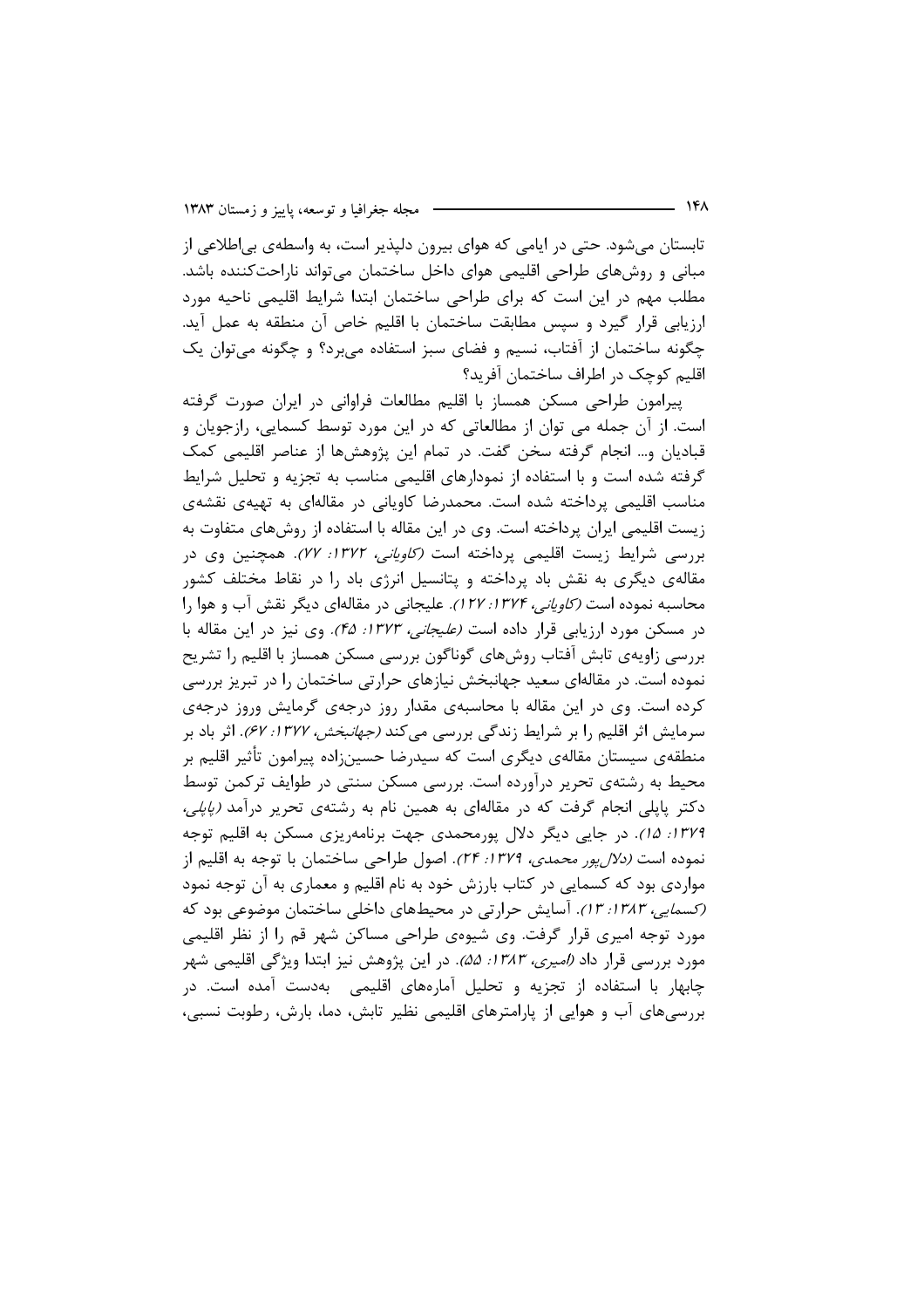تابستان می شود. حتی در ایامی که هوای بیرون دلپذیر است، به واسطهی بی اطلاعی از مبانی و روشهای طراحی اقلیمی هوای داخل ساختمان می تواند ناراحتکننده باشد. مطلب مهم در این است که برای طراحی ساختمان ابتدا شرایط اقلیمی ناحیه مورد ارزيابي قرار گيرد و سپس مطابقت ساختمان با اقليم خاص آن منطقه به عمل آيد. چگونه ساختمان از آفتاب، نسیم و فضای سبز استفاده می برد؟ و چگونه می توان یک اقلیم کوچک در اطراف ساختمان آفرید؟

پیرامون طراحی مسکن همساز با اقلیم مطالعات فراوانی در ایران صورت گرفته است. از آن جمله می توان از مطالعاتی که در این مورد توسط کسمایی، رازجویان و قبادیان و… انجام گرفته سخن گفت. در تمام این پژوهشها از عناصر اقلیمی کمک گرفته شده است و با استفاده از نمودارهای اقلیمی مناسب به تجزیه و تحلیل شرایط مناسب اقلیمی پرداخته شده است. محمدرضا کاویانی در مقالهای به تهیهی نقشهی زیست اقلیمی ایران پرداخته است. وی در این مقاله با استفاده از روشهای متفاوت به بررسی شرایط زیست اقلیمی پرداخته است *(کاویانی، ۱۳۷۲: ۲۷).* همچنین وی در مقالهی دیگری به نقش باد پرداخته و پتانسیل انرژی باد را در نقاط مختلف کشور محاسبه نموده است *(کاویانی، ۱۳۷۴؛ ۱۲۷).* علیجانی در مقالهای دیگر نقش آب و هوا را در مسکن مورد ارزیابی قرار داده است *(علیجانی، ۱۳۷۳: ۴۵).* وی نیز در این مقاله با بررسی زاویهی تابش آفتاب روشهای گوناگون بررسی مسکن همساز با اقلیم را تشریح نموده است. در مقالهای سعید جهانبخش نیازهای حرارتی ساختمان را در تبریز بررسی کرده است. وی در این مقاله با محاسبهی مقدار روز درجهی گرمایش وروز درجهی سرمایش اثر اقلیم را بر شرایط زندگی بررسی میکند *(جهانبخش، ۱۳۷۷: ۶۷)*. اثر باد بر منطقهی سیستان مقالهی دیگری است که سیدرضا حسین;اده پیرامون تأثیر اقلیم بر محیط به رشتهی تحریر درآورده است. بررسی مسکن سنتی در طوایف ترکمن توسط دکتر پایلی انجام گرفت که در مقالهای به همین نام به رشتهی تحریر درآمد *(پایلی،* ۱۳۷۹: ۱۵). در جایی دیگر دلال پورمحمدی جهت برنامهریزی مسکن به اقلیم توجه نموده است *(دلال یور محمدی، ۱۳۷۹: ۲۴).* اصول طراحی ساختمان با توجه به اقلیم از مواردی بود که کسمایی در کتاب بارزش خود به نام اقلیم و معماری به آن توجه نمود (*کسمایی، ۱۳۸۳: ۱۳)*. آسایش حرارتی در محیطهای داخلی ساختمان موضوعی بود که مورد توجه امیری قرار گرفت. وی شیوهی طراحی مساکن شهر قم را از نظر اقلیمی مورد بررسی قرار داد *(امیری، ۱۳۸۳: ۵۵)*. در این پژوهش نیز ابتدا ویژگی اقلیمی شهر چابهار با استفاده از تجزیه و تحلیل آمارههای اقلیمی ِ بهدست آمده است. در بررسیِهای آب و هوایی از پارامترهای اقلیمی نظیر تابش، دما، بارش، رطوبت نسبی،

- ۱۴۸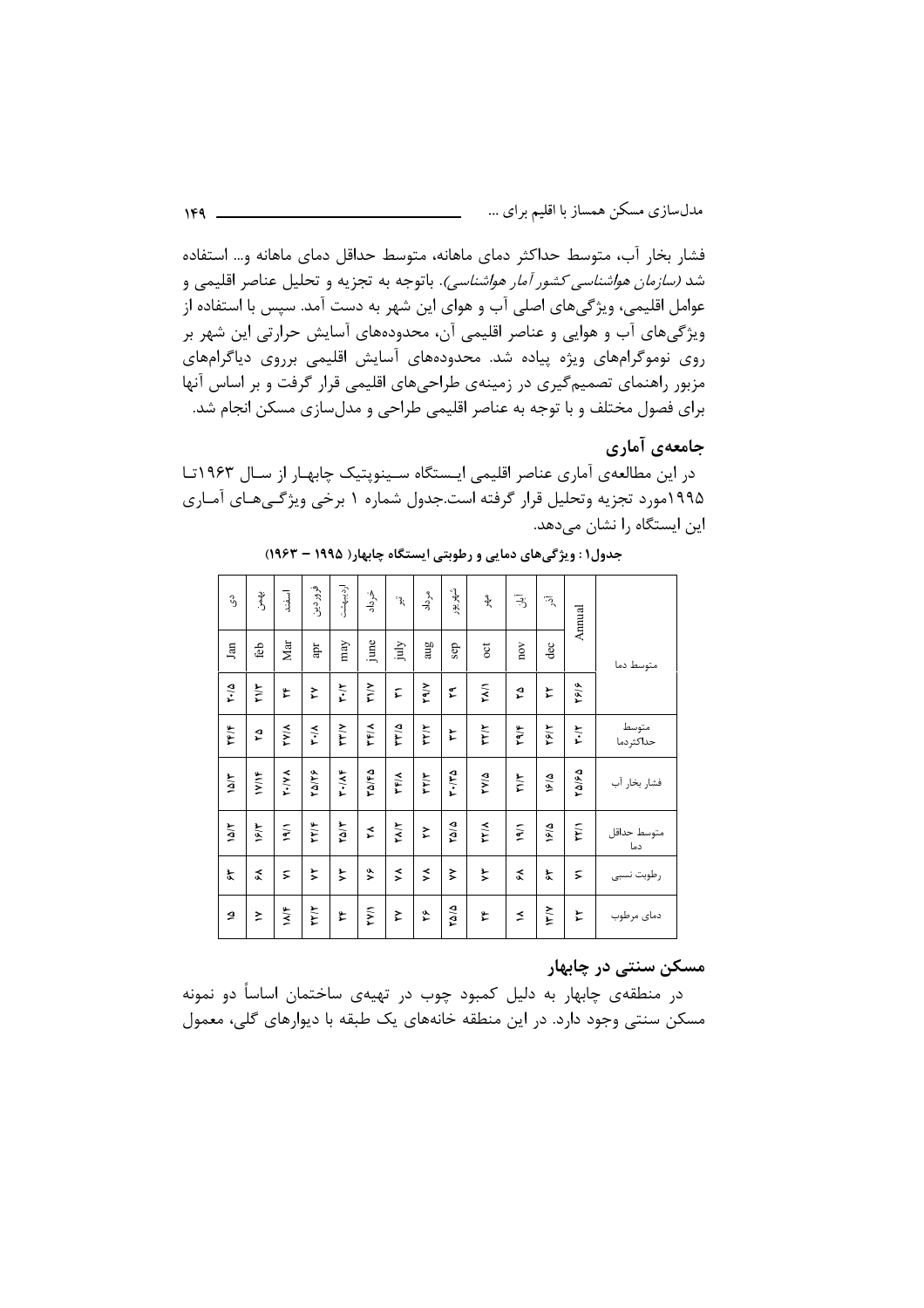فشار بخار آب، متوسط حداکثر دمای ماهانه، متوسط حداقل دمای ماهانه و… استفاده شد *(سازمان هواشناسی کشور آمار هواشناسی)*. باتوجه به تجزیه و تحلیل عناصر اقلیمی و عوامل اقلیمی، ویژگیهای اصلی آب و هوای این شهر به دست آمد. سپس با استفاده از ویژگیهای آب و هوایی و عناصر اقلیمی آن، محدودههای آسایش حرارتی این شهر بر روی نوموگرامهای ویژه پیاده شد. محدودههای آسایش اقلیمی برروی دیاگرامهای مزبور راهنمای تصمیم گیری در زمینهی طراحیهای اقلیمی قرار گرفت و بر اساس آنها برای فصول مختلف و با توجه به عناصر اقلیمی طراحی و مدلسازی مسکن انجام شد.

## جامعهي آماري

در این مطالعهی آماری عناصر اقلیمی ایستگاه سینوپتیک چابهار از سال ۱۹۶۳تا ۱۹۹۵مورد تجزیه وتحلیل قرار گرفته است.جدول شماره ۱ برخی ویژگیهای آمـاری این ایستگاه را نشان میدهد.

| ς,          | ې<br>د                 | اسفند       | فرور دين | ارديبهشت    | خرداد              | $\mathcal{E}^*$ | مرداد       | شهريور          | $\ast$       | ڗٙ                   | $\overline{\cdot}$ | Annual               |                    |
|-------------|------------------------|-------------|----------|-------------|--------------------|-----------------|-------------|-----------------|--------------|----------------------|--------------------|----------------------|--------------------|
| Jan         | feb                    | Mar         | apr      | may         | june               | ylni            | aug         | sep             | $_{\rm oct}$ | $_{\rm nov}$         | dec                |                      | متوسط دما          |
| ۲۰/۵        | ٣١/٣                   | ع           | ≿        | ٣٠١٢        | $\frac{1}{2}$      | F               | <b>YAVY</b> | ٤               | <b>TYY</b>   | م<br>1               | と                  | ۲۶۱۶                 |                    |
| ۲۴۱۴        | $\boldsymbol{\hat{z}}$ | <b>KIAL</b> | メンス      | <b>YYYY</b> | <b>TFIA</b>        | ۳۳۵             | ٣٢/٢        | F               | <b>TAA</b>   | 4/61                 | ۲۶۱۲               | ٣٠١٢                 | متوسط<br>حداكثردما |
| M/6         | 11/18                  | Y./VA       | 74187    | $Y - I A F$ | ۳۵/۴۵              | <b>TFIA</b>     | ٣٢/٣        | ۳۰٬۳۵           | ۳۷۵          | $Y \setminus Y$      | ۱۶/۵               | ۲۵/۶۵                | فشار بخار آب       |
| $1\Delta/T$ | ۱۶۱۳                   | $\tilde{M}$ | 77/4     | $T\Delta/T$ | ≵                  | <b>TYY</b>      | ≿           | ۵۱۵             | <b>TYIA</b>  | 19/1                 | $\frac{1}{2}$      | ٣٣N                  | متوسط حداقل<br>دما |
| $\zeta$     | $\tilde{\mathbf{r}}$   | ζ           | ≿        | ≿           | $\hat{\mathbf{z}}$ | $\leq$          | ⋨           | $\ddot{\bm{z}}$ | ≿            | $\tilde{\mathbf{r}}$ | ř                  | $\tilde{\mathbf{z}}$ | رطوبت نسبى         |
| ð           | ≿                      | 3/N         | ٢٢/٢     | ۴           | <b>KAA</b>         | ≿               | ۶È          | ۵۱۵             | ٤            | ≤                    | $\frac{1}{2}$      | ະ                    | دمای مرطوب         |

جدول۱ : ویژگی های دمایی و رطوبتی ایستگاه چابهار ( ۱۹۹۵ – ۱۹۶۳)

#### مسکن سنتی در چابهار

در منطقهی چابهار به دلیل کمبود چوب در تهیهی ساختمان اساساً دو نمونه مسکن سنتی وجود دارد. در این منطقه خانههای یک طبقه با دیوارهای گلی، معمول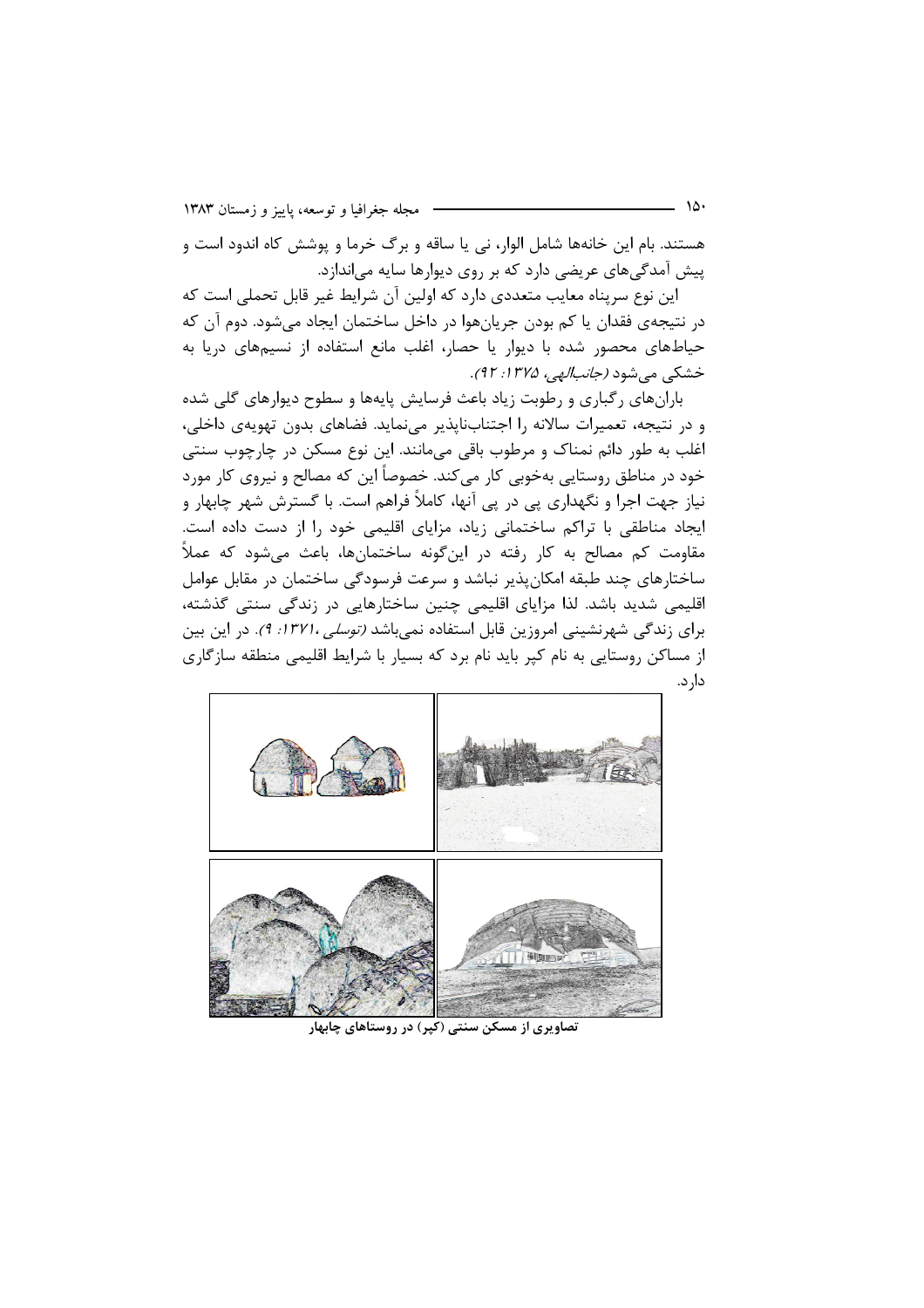هستند. بام این خانهها شامل الوار، نی یا ساقه و برگ خرما و پوشش کاه اندود است و پیش آمدگیهای عریضی دارد که بر روی دیوارها سایه می|ندازد.

این نوع سرپناه معایب متعددی دارد که اولین آن شرایط غیر قابل تحملی است که در نتيجهي فقدان يا كم بودن جريانهوا در داخل ساختمان ايجاد مي شود. دوم آن كه حیاطهای محصور شده با دیوار یا حصار، اغلب مانع استفاده از نسیمهای دریا به خشکي مي شود *(جانب الهي، ۱۳۷۵: ۹۲).* 

بارانهای رگباری و رطوبت زیاد باعث فرسایش پایهها و سطوح دیوارهای گلی شده و در نتیجه، تعمیرات سالانه را اجتنابناپذیر مینماید. فضاهای بدون تهویهی داخلی، اغلب به طور دائم نمناک و مرطوب باقی میمانند. این نوع مسکن در چارچوب سنتی خود در مناطق روستایی بهخوبی کار میکند. خصوصاً این که مصالح و نیروی کار مورد نیاز جهت اجرا و نگهداری پی در پی آنها، کاملاً فراهم است. با گسترش شهر چابهار و ایجاد مناطقی با تراکم ساختمانی زیاد، مزایای اقلیمی خود را از دست داده است. مقاومت کم مصالح به کار رفته در این گونه ساختمانها، باعث می شود که عملاً ساختارهای چند طبقه امکان پذیر نباشد و سرعت فرسودگی ساختمان در مقابل عوامل اقلیمی شدید باشد. لذا مزایای اقلیمی چنین ساختارهایی در زندگی سنتی گذشته، برای زندگی شهرنشینی امروزین قابل استفاده نمیباشد *(توسلی ،۱۳۷۱: ۹)*. در این بین از مساکن روستایی به نام کیر باید نام برد که بسیار با شرایط اقلیمی منطقه سازگاری دار د.



نصاویری از مسکن سنتی (کیر) در روستاهای چابهار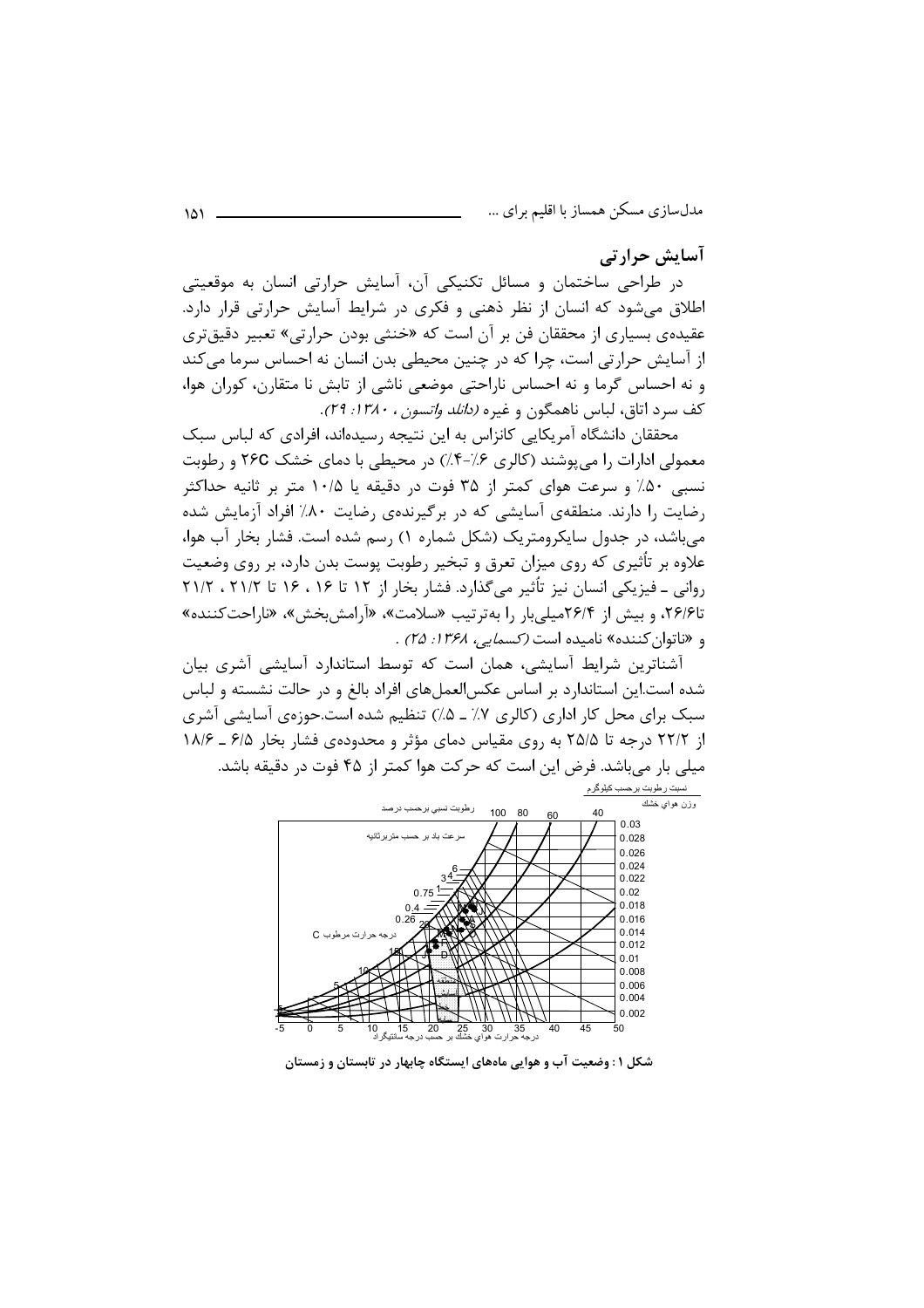آسایش جرارتبی

در طراحی ساختمان و مسائل تکنیکی آن، آسایش حرارتی انسان به موقعیتی اطلاق میشود که انسان از نظر ذهنی و فکری در شرایط آسایش حرارتی قرار دارد. عقیدهی بسیاری از محققان فن بر آن است که «خنثی بودن حرارتی» تعبیر دقیقتری از آسایش حرارتی است، چرا که در چنین محیطی بدن انسان نه احساس سرما می کند و نه احساس گرما و نه احساس ناراحتی موضعی ناشی از تابش نا متقارن، کوران هوا، كف سرد اتاق، لباس ناهمگون و غيره *(دانلد واتسون ، ١٣٨٠: ٢٩)*.

محققان دانشگاه آمریکایی کانزاس به این نتیجه رسیدهاند، افرادی که لباس سبک معمولی ادارات را می پوشند (کالری ۰/۶–۴٪) در محیطی با دمای خشک ۲۶C و رطوبت نسبی ۵۰٪ و سرعت هوای کمتر از ۳۵ فوت در دقیقه یا ۱۰/۵ متر بر ثانیه حداکثر رضایت را دارند. منطقهی آسایشی که در برگیرندهی رضایت ۸۰٪ افراد آزمایش شده می باشد، در جدول سایکرومتریک (شکل شماره ۱) رسم شده است. فشار بخار آب هوا، علاوه بر تأثیری که روی میزان تعرق و تبخیر رطوبت پوست بدن دارد، بر روی وضعیت روانی ـ فیزیکی انسان نیز تأثیر می گذارد. فشار بخار از ۱۲ تا ۱۶ ، ۱۶ تا ۲۱/۲ ، ۲۱/۲ تا۲۶/۶، و بیش از ۲۶/۴میلی بار را بهترتیب «سلامت»، «آرامش بخش»، «ناراحت کننده» و «ناتوان كننده» ناميده است *(كسمايي، ۱۳۶۸: ۲۵)* .

آشناترین شرایط آسایشی، همان است که توسط استاندارد آسایشی آشری بیان شده است.این استاندارد بر اساس عکس|لعملهای افراد بالغ و در حالت نشسته و لباس سبک برای محل کار اداری (کالری ۷٪ ـ ۵٪) تنظیم شده است.حوزهی آسایشی آشری از ۲۲/۲ درجه تا ۲۵/۵ به روی مقیاس دمای مؤثر و محدودهی فشار بخار ۶/۵ ـ ۱۸/۶ میلی بار می باشد. فرض این است که حرکت هوا کمتر از ۴۵ فوت در دقیقه باشد.



شکل ۱: وضعیت آب و هوایی ماههای ایستگاه چابهار در تابستان و زمستان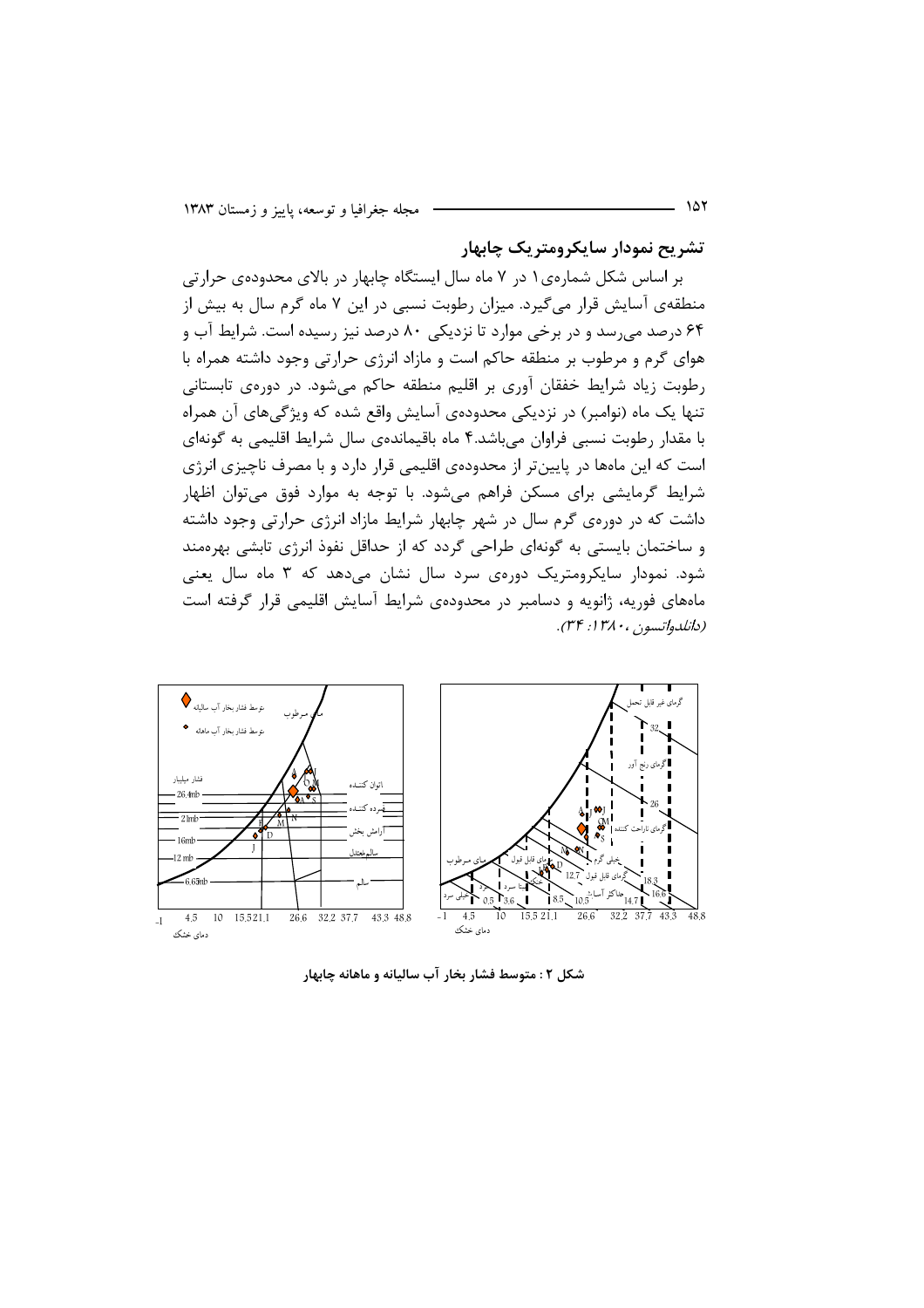تشريح نمودار سايكرومتريك چابهار

بر اساس شکل شمارهی ۱ در ۷ ماه سال ایستگاه چابهار در بالای محدودهی حرارتی منطقهی آسایش قرار میگیرد. میزان رطوبت نسبی در این ۷ ماه گرم سال به بیش از ۶۴ درصد می رسد و در برخی موارد تا نزدیکی ۸۰ درصد نیز رسیده است. شرایط آب و هوای گرم و مرطوب بر منطقه حاکم است و مازاد انرژی حرارتی وجود داشته همراه با رطوبت زیاد شرایط خفقان آوری بر اقلیم منطقه حاکم می شود. در دورهی تابستانی تنها یک ماه (نوامبر) در نزدیکی محدودهی آسایش واقع شده که ویژگیهای آن همراه با مقدار رطوبت نسبی فراوان می باشد.۴ ماه باقیمانده ی سال شرایط اقلیمی به گونهای است که این ماهها در پایینتر از محدودهی اقلیمی قرار دارد و با مصرف ناچیزی انرژی شرایط گرمایشی برای مسکن فراهم میشود. با توجه به موارد فوق می توان اظهار داشت که در دورهی گرم سال در شهر چابهار شرایط مازاد انرژی حرارتی وجود داشته و ساختمان بایستی به گونهای طراحی گردد که از حداقل نفوذ انرژی تابشی بهرهمند شود. نمودار سایکرومتریک دورهی سرد سال نشان میدهد که ۳ ماه سال یعنی ماههای فوریه، ژانویه و دسامبر در محدودهی شرایط آسایش اقلیمی قرار گرفته است (دانلدواتسون ، ۱۳۸۰. ۳۴).



شکل ۲ : متوسط فشار بخار آب سالیانه و ماهانه چابهار

۱۵۲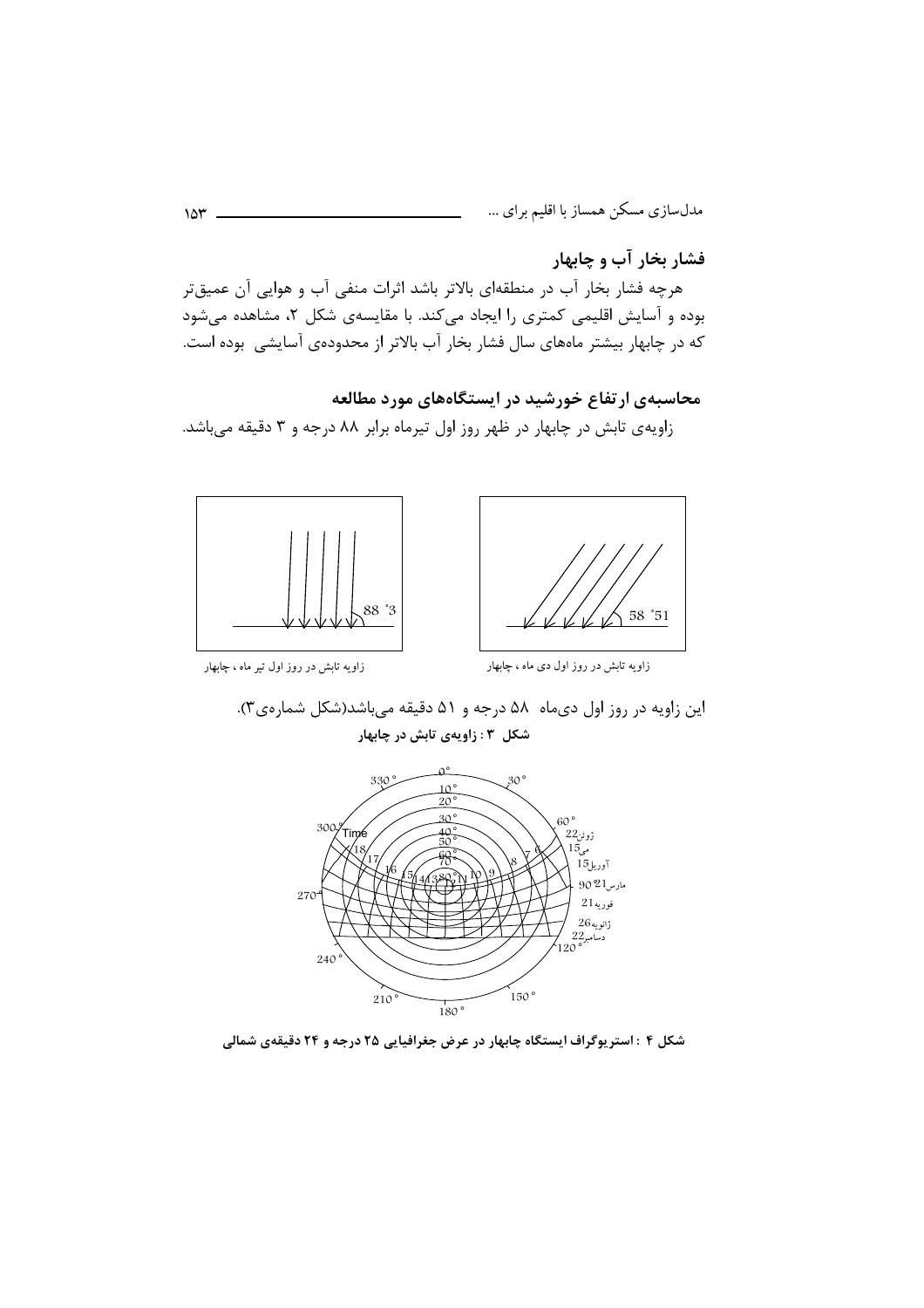فشار بخار آب و چابهار

هرچه فشار بخار آب در منطقهای بالاتر باشد اثرات منفی آب و هوایی آن عمیقتر بوده و آسایش اقلیمی کمتری را ایجاد میکند. با مقایسهی شکل ۲، مشاهده می شود که در چابهار بیشتر ماههای سال فشار بخار آب بالاتر از محدودهی آسایشی بوده است.

## محاسبهی ارتفاع خورشید در ایستگاههای مورد مطالعه

زاویهی تابش در چابهار در ظهر روز اول تیرماه برابر ۸۸ درجه و ۳ دقیقه میباشد.





زاویه تابش در روز اول تیر ماه ، چابهار

زاویه تابش در روز اول دی ماه ، چابهار

این زاویه در روز اول دیماه ۵۸ درجه و ۵۱ دقیقه میباشد(شکل شمارهی۳). شکل ۳: زاویهی تابش در چابهار



شکل ۴ : استریوگراف ایستگاه چابهار در عرض جغرافیایی ۲۵ درجه و ۲۴ دقیقهی شمالی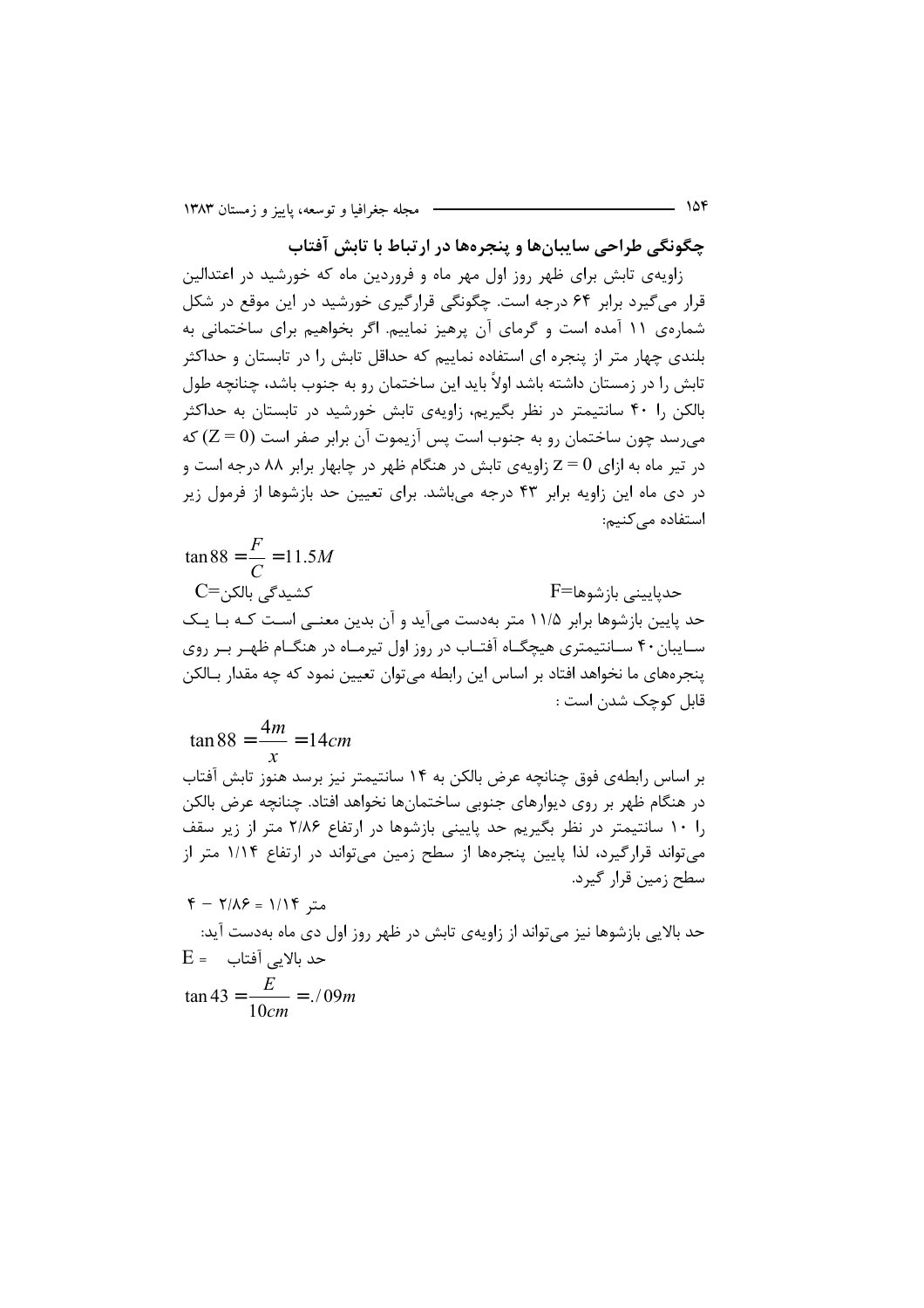چگونگی طراحی سایبانها و پنجرهها در ارتباط با تابش آفتاب

زاویهی تابش برای ظهر روز اول مهر ماه و فروردین ماه که خورشید در اعتدالین قرار میگیرد برابر ۶۴ درجه است. چگونگی قرارگیری خورشید در این موقع در شکل شمارهی ۱۱ آمده است و گرمای آن پرهیز نماییم. اگر بخواهیم برای ساختمانی به بلندی چهار متر از پنجره ای استفاده نماییم که حداقل تابش را در تابستان و حداکثر تابش را در زمستان داشته باشد اولاً باید این ساختمان رو به جنوب باشد، چنانچه طول بالکن را ۴۰ سانتیمتر در نظر بگیریم، زاویهی تابش خورشید در تابستان به حداکثر می سد چون ساختمان رو به جنوب است پس آزیموت آن برابر صفر است (Z = 0) که در تیر ماه به ازای  $\rm z=0$  زاویهی تابش در هنگام ظهر در چابهار برابر ۸۸ درجه است و در دی ماه این زاویه برابر ۴۳ درجه میباشد. برای تعیین حد بازشوها از فرمول زیر استفاده مے کنیم:

$$
\tan 88 = \frac{F}{C} = 11.5M
$$
\n
$$
C = \frac{11.5M}{2}
$$
\n
$$
C = \frac{11.5M}{2}
$$
\n
$$
C = \frac{11.5M}{2}
$$
\n
$$
C = \frac{11.5M}{2}
$$
\n
$$
C = \frac{11.5M}{2}
$$
\n
$$
C = \frac{11.5M}{2}
$$
\n
$$
C = \frac{11.5M}{2}
$$
\n
$$
C = \frac{11.5M}{2}
$$
\n
$$
C = \frac{11.5M}{2}
$$
\n
$$
C = \frac{11.5M}{2}
$$
\n
$$
C = \frac{11.5M}{2}
$$
\n
$$
C = \frac{11.5M}{2}
$$
\n
$$
C = \frac{11.5M}{2}
$$
\n
$$
C = \frac{11.5M}{2}
$$
\n
$$
C = \frac{11.5M}{2}
$$
\n
$$
C = \frac{11.5M}{2}
$$
\n
$$
C = \frac{11.5M}{2}
$$
\n
$$
C = \frac{11.5M}{2}
$$
\n
$$
C = \frac{11.5M}{2}
$$
\n
$$
C = \frac{11.5M}{2}
$$
\n
$$
C = \frac{11.5M}{2}
$$
\n
$$
C = \frac{11.5M}{2}
$$
\n
$$
C = \frac{11.5M}{2}
$$
\n
$$
C = \frac{11.5M}{2}
$$
\n
$$
C = \frac{11.5M}{2}
$$
\n
$$
C = \frac{11.5M}{2}
$$
\n
$$
C = \frac{11.5M}{2}
$$
\n
$$
C = \frac{11.5M}{2}
$$
\n
$$
C = \frac{11.5M}{2}
$$

$$
\tan 88 = \frac{4m}{x} = 14cm
$$
\n
$$
\tan 88 = \frac{4m}{x} = 14cm
$$

بر اساس رابطهی فوق چنانچه عرض بالکن به در هنگام ظهر بر روی دیوارهای جنوبی ساختمانها نخواهد افتاد. چنانچه عرض بالکن را ۱۰ سانتیمتر در نظر بگیریم حد پایینی بازشوها در ارتفاع ۲/۸۶ متر از زیر سقف میتواند قرارگیرد، لذا پایین پنجرهها از سطح زمین میتواند در ارتفاع ۱/۱۴ متر از سطح زمین قرار گیرد.  $\overline{u}$ 

$$
5 - 1/\lambda
$$
 = 1/11 = 3

حد بالایی بازشوها نیز میتواند از زاویهی تابش در ظهر روز اول دی ماه بهدست آید:  $E =$  حد بالایی آفتاب  $E =$  $\tan 43 = \frac{E}{10cm} = ./09m$ 

- 154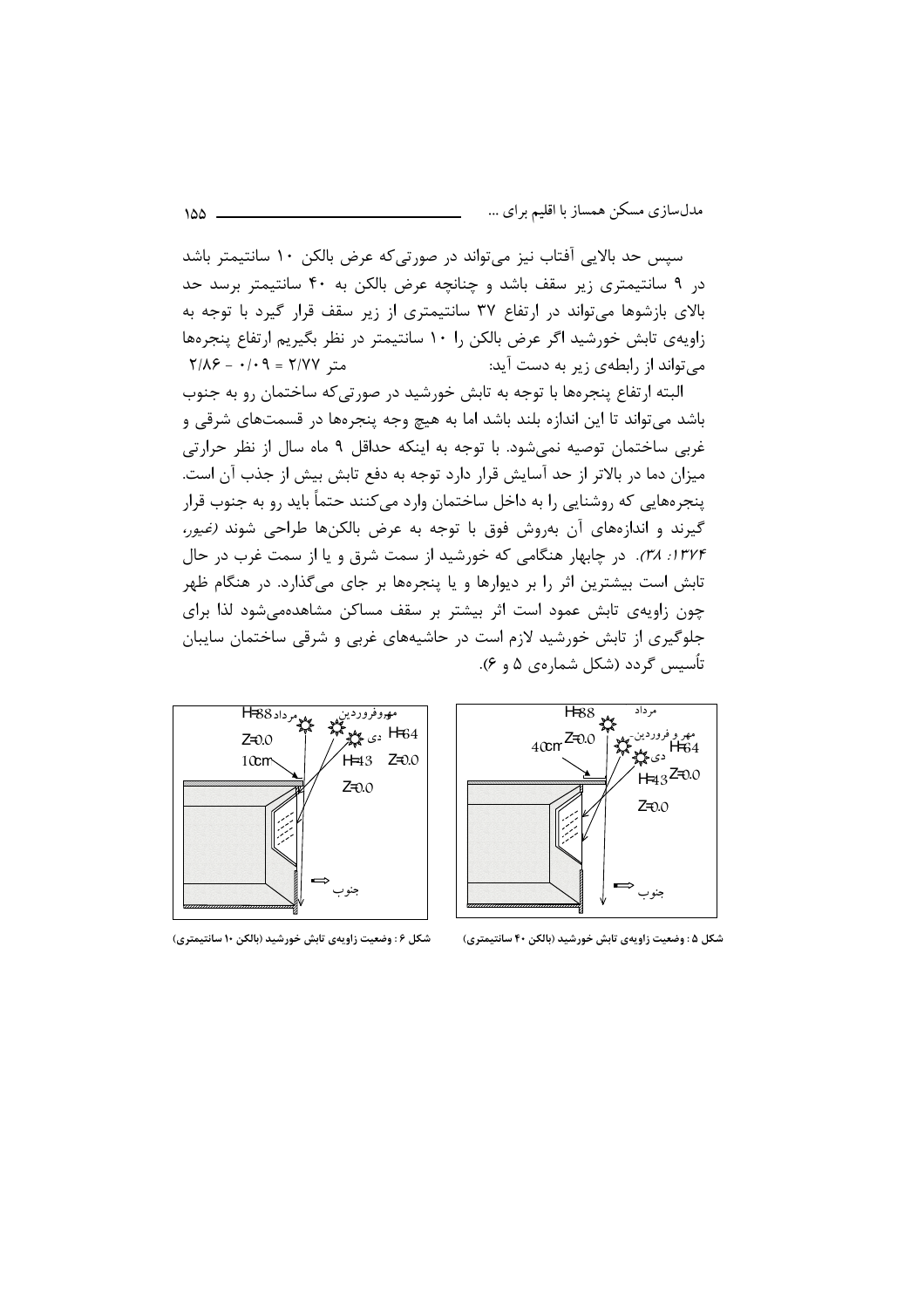سیس حد بالایی آفتاب نیز می تواند در صورتی که عرض بالکن ۱۰ سانتیمتر باشد در ۹ سانتیمتری زیر سقف باشد و چنانچه عرض بالکن به ۴۰ سانتیمتر برسد حد بالای بازشوها می تواند در ارتفاع ۳۷ سانتیمتری از زیر سقف قرار گیرد با توجه به زاويهي تابش خورشيد اگر عرض بالكن را ١٠ سانتيمتر در نظر بگيريم ارتفاع ينجرهها  $Y/\lambda \xi - \cdot \cdot \cdot \eta = Y/YY$  مته می تواند از رابطهی زیر به دست آید:

البته ارتفاع پنجرهها با توجه به تابش خورشید در صورتی که ساختمان رو به جنوب باشد می تواند تا این اندازه بلند باشد اما به هیچ وجه پنجرهها در قسمتهای شرقی و غربی ساختمان توصیه نمیشود. با توجه به اینکه حداقل ۹ ماه سال از نظر حرارتی میزان دما در بالاتر از حد آسایش قرار دارد توجه به دفع تابش بیش از جذب آن است. پنجرههایی که روشنایی را به داخل ساختمان وارد می کنند حتماً باید رو به جنوب قرار گیرند و اندازههای آن بهروش فوق با توجه به عرض بالکنها طراحی شوند *(غیور،* ۱۳۷۴: ۳۸). در چابهار هنگامی که خورشید از سمت شرق و یا از سمت غرب در حال تابش است بیشترین اثر را بر دیوارها و یا پنجرهها بر جای میگذارد. در هنگام ظهر چون زاویهی تابش عمود است اثر بیشتر بر سقف مساکن مشاهدهمی شود لذا برای جلوگیری از تابش خورشید لازم است در حاشیههای غربی و شرقی ساختمان سایبان تأسیس گردد (شکل شمارهی ۵ و ۶).



 $\overline{H88}$   $\frac{1}{2}$ مر داد  $40 \text{cm}^{\text{Z=0.0}}$ مهر و فروردین۔<br>H=64 دی پیچ پلا  $H = 3^{Z=0.0}$  $Z = 0.0$ 

شکل ۶ : وضعیت زاویهی تابش خورشید (بالکن ۱۰ سانتیمتری)

شکل ۵ : وضعیت زاویهی تابش خورشید (بالکن ۴۰ سانتیمتری)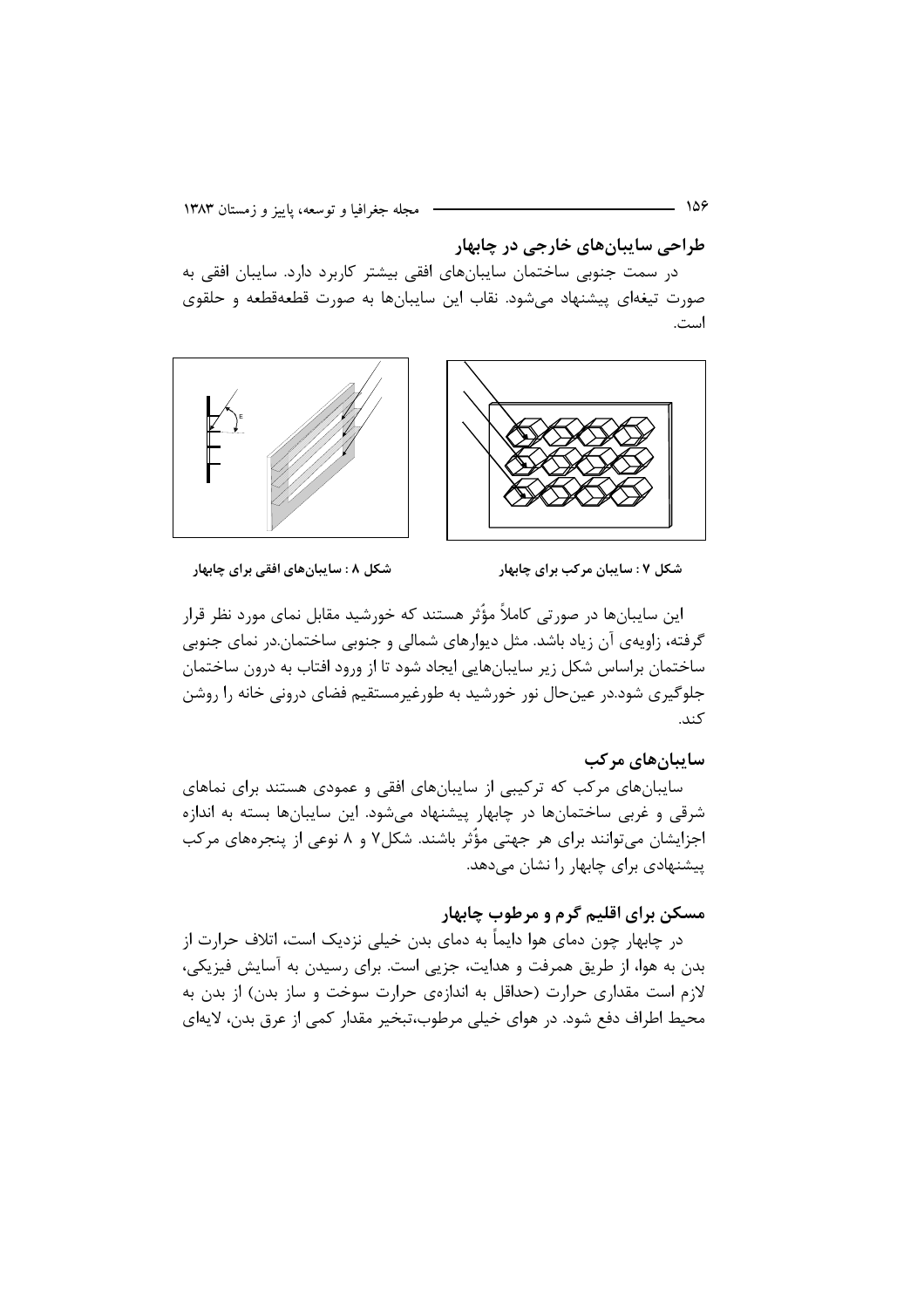طراحي سايبانهاي خارجي در چابهار

در سمت جنوبی ساختمان سایبانهای افقی بیشتر کاربرد دارد. سایبان افقی به صورت تیغهای پیشنهاد میشود. نقاب این سایبانها به صورت قطعهقطعه و حلقوی استغر



شکل ۸ : سایبانهای افقی برای چابهار شکل ۷ : سایبان مرکب برای چابهار

این سایبانها در صورتی کاملاً مؤثر هستند که خورشید مقابل نمای مورد نظر قرار گرفته، زاویهی آن زیاد باشد. مثل دیوارهای شمالی و جنوبی ساختمان.در نمای جنوبی ساختمان براساس شکل زیر سایبانهایی ایجاد شود تا از ورود افتاب به درون ساختمان جلوگیری شود.در عینحال نور خورشید به طورغیرمستقیم فضای درونی خانه را روشن كند.

#### ساییان های مرکب

سایبانهای مرکب که ترکیبی از سایبانهای افقی و عمودی هستند برای نماهای شرقی و غربی ساختمانها در چابهار پیشنهاد میشود. این سایبانها بسته به اندازه اجزایشان می توانند برای هر جهتی مؤُثر باشند. شکل۷ و ۸ نوعی از پنجرههای مرکب ییشنهادی برای چابهار را نشان می دهد.

## مسکن برای اقلیم گرم و مرطوب چابهار

در چابهار چون دمای هوا دایماً به دمای بدن خیلی نزدیک است، اتلاف حرارت از بدن به هوا، از طریق همرفت و هدایت، جزیی است. برای رسیدن به آسایش فیزیکی، لازم است مقداری حرارت (حداقل به اندازهی حرارت سوخت و ساز بدن) از بدن به محیط اطراف دفع شود. در هوای خیلی مرطوب،تبخیر مقدار کمی از عرق بدن، لایهای

158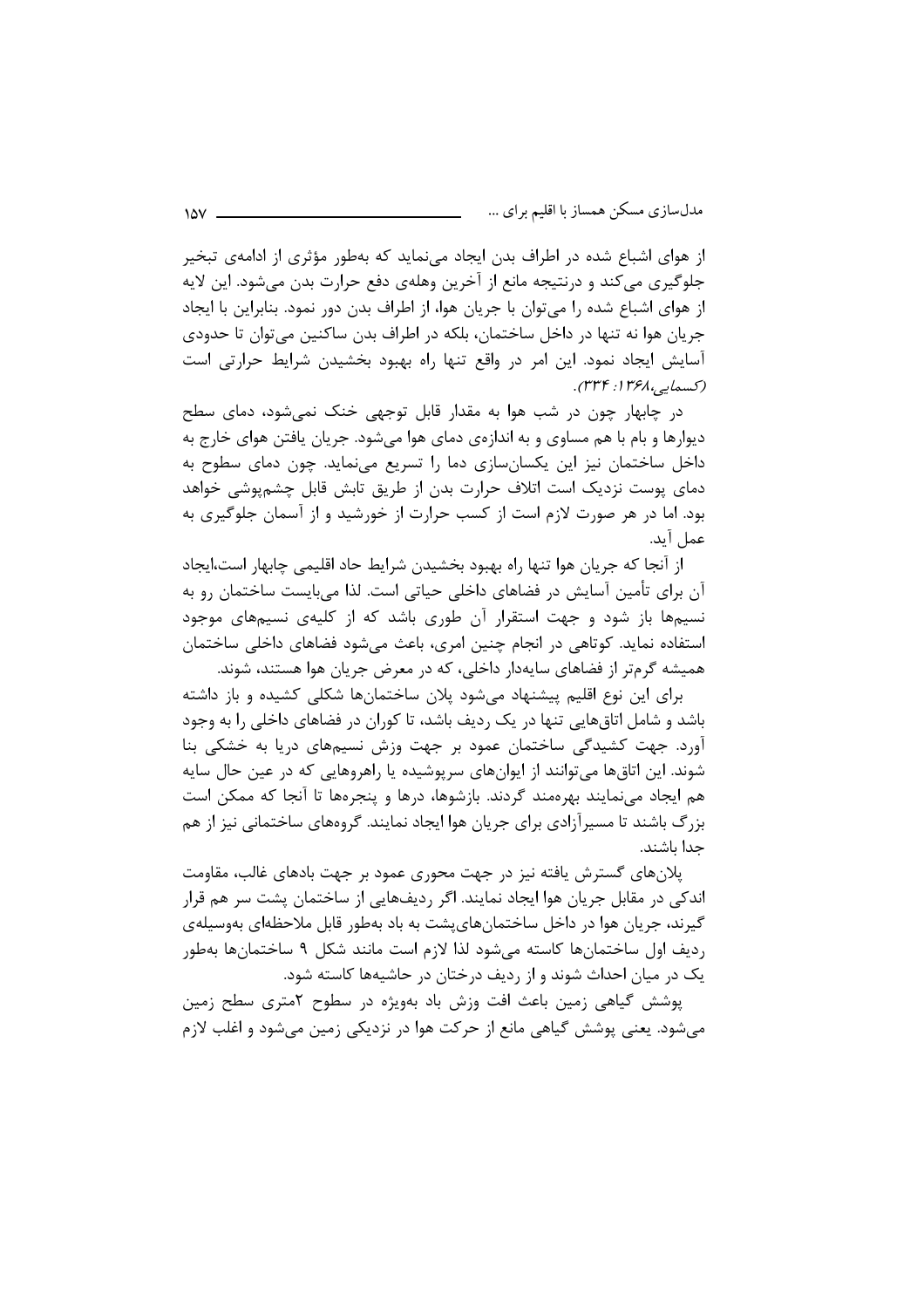از هوای اشباع شده در اطراف بدن ایجاد می;نماید که بهطور مؤثری از ادامهی تبخیر جلوگيري مي كند و درنتيجه مانع از آخرين وهلهي دفع حرارت بدن مي شود. اين لايه از هوای اشباع شده را میتوان با جریان هوا، از اطراف بدن دور نمود. بنابراین با ایجاد جريان هوا نه تنها در داخل ساختمان، بلكه در اطراف بدن ساكنين مي توان تا حدودي آسایش ایجاد نمود. این امر در واقع تنها راه بهبود بخشیدن شرایط حرارتی است (كېسمايي،١٣۶٨، ٣٣۴).

در چابهار چون در شب هوا به مقدار قابل توجهی خنک نمیشود، دمای سطح دیوارها و بام با هم مساوی و به اندازهی دمای هوا می شود. جریان یافتن هوای خارج به داخل ساختمان نیز این یکسانسازی دما را تسریع مینماید. چون دمای سطوح به دمای یوست نزدیک است اتلاف حرارت بدن از طریق تابش قابل چشمپوشی خواهد بود. اما در هر صورت لازم است از کسب حرارت از خورشید و از آسمان جلوگیری به عمل آيد.

از آنجا که جریان هوا تنها راه بهبود بخشیدن شرایط حاد اقلیمی چابهار است،ایجاد آن برای تأمین آسایش در فضاهای داخلی حیاتی است. لذا می,بایست ساختمان رو به نسیمها باز شود و جهت استقرار آن طوری باشد که از کلیهی نسیمهای موجود استفاده نماید. کوتاهی در انجام چنین امری، باعث می شود فضاهای داخلی ساختمان همیشه گرمتر از فضاهای سایهدار داخلی، که در معرض جریان هوا هستند، شوند.

برای این نوع اقلیم پیشنهاد می شود پلان ساختمانها شکلی کشیده و باز داشته باشد و شامل اتاق@ایی تنها در یک ردیف باشد، تا کوران در فضاهای داخلی را به وجود آورد. جهت کشیدگی ساختمان عمود بر جهت وزش نسیمهای دریا به خشکی بنا شوند. این اتاقها میتوانند از ایوانهای سرپوشیده یا راهروهایی که در عین حال سایه هم ایجاد مینمایند بهرهمند گردند. بازشوها، درها و پنجرهها تا آنجا که ممکن است بزرگ باشند تا مسیرآزادی برای جریان هوا ایجاد نمایند. گروههای ساختمانی نیز از هم جدا باشند.

پلانهای گسترش یافته نیز در جهت محوری عمود بر جهت بادهای غالب، مقاومت اندکی در مقابل جریان هوا ایجاد نمایند. اگر ردیفهایی از ساختمان پشت سر هم قرار گیرند، جریان هوا در داخل ساختمانهایپشت به باد بهطور قابل ملاحظهای بهوسیلهی رديف اول ساختمانها كاسته مىشود لذا لازم است مانند شكل ٩ ساختمانها بهطور یک در میان احداث شوند و از ردیف درختان در حاشیهها کاسته شود.

پوشش گیاهی زمین باعث افت وزش باد بهویژه در سطوح آمتری سطح زمین می شود. یعنی پوشش گیاهی مانع از حرکت هوا در نزدیکی زمین می شود و اغلب لازم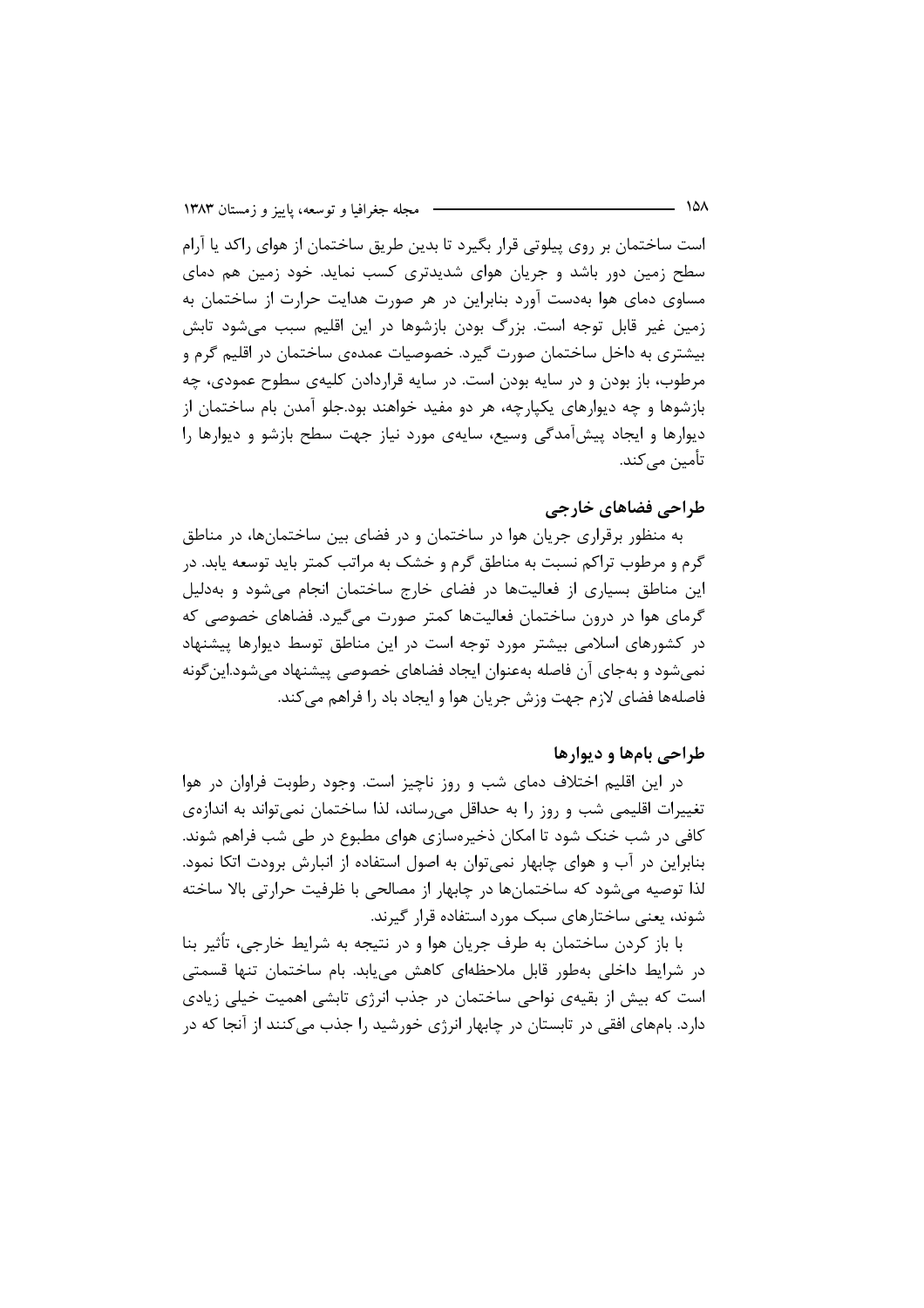است ساختمان بر روی پیلوتی قرار بگیرد تا بدین طریق ساختمان از هوای راکد یا آرام سطح زمین دور باشد و جریان هوای شدیدتری کسب نماید. خود زمین هم دمای مساوی دمای هوا بهدست آورد بنابراین در هر صورت هدایت حرارت از ساختمان به زمین غیر قابل توجه است. بزرگ بودن بازشوها در این اقلیم سبب میشود تابش بیشتری به داخل ساختمان صورت گیرد. خصوصیات عمدهی ساختمان در اقلیم گرم و مرطوب، باز بودن و در سایه بودن است. در سایه قراردادن کلیهی سطوح عمودی، چه بازشوها و چه دیوارهای یکپارچه، هر دو مفید خواهند بود.جلو آمدن بام ساختمان از دیوارها و ایجاد پیشآمدگی وسیع، سایهی مورد نیاز جهت سطح بازشو و دیوارها را تأمین مے کند.

## طراحی فضاهای خارجی

به منظور برقراری جریان هوا در ساختمان و در فضای بین ساختمانها، در مناطق گرم و مرطوب تراکم نسبت به مناطق گرم و خشک به مراتب کمتر باید توسعه پابد. در این مناطق بسیاری از فعالیتها در فضای خارج ساختمان انجام می شود و بهدلیل گرمای هوا در درون ساختمان فعالیتها کمتر صورت میگیرد. فضاهای خصوصی که در کشورهای اسلامی بیشتر مورد توجه است در این مناطق توسط دیوارها پیشنهاد نمی شود و بهجای آن فاصله بهعنوان ایجاد فضاهای خصوصی پیشنهاد می شود.این گونه فاصلهها فضاي لازم جهت وزش جريان هوا و ايجاد باد را فراهم مي كند.

#### طراحي بامها و ديوارها

در این اقلیم اختلاف دمای شب و روز ناچیز است. وجود رطوبت فراوان در هوا تغییرات اقلیمی شب و روز را به حداقل میرساند، لذا ساختمان نمیتواند به اندازهی کافی در شب خنک شود تا امکان ذخیرهسازی هوای مطبوع در طی شب فراهم شوند. بنابراین در آب و هوای چابهار نمی توان به اصول استفاده از انبارش برودت اتکا نمود. لذا توصیه میشود که ساختمانها در چابهار از مصالحی با ظرفیت حرارتی بالا ساخته شوند، یعنی ساختارهای سبک مورد استفاده قرار گیرند.

با باز کردن ساختمان به طرف جریان هوا و در نتیجه به شرایط خارجی، تأثیر بنا در شرایط داخلی بهطور قابل ملاحظهای کاهش می یابد. بام ساختمان تنها قسمتی است که بیش از بقیهی نواحی ساختمان در جذب انرژی تابشی اهمیت خیلی زیادی دارد. بامهای افقی در تابستان در چابهار انرژی خورشید را جذب میکنند از آنجا که در

– ۱۵۸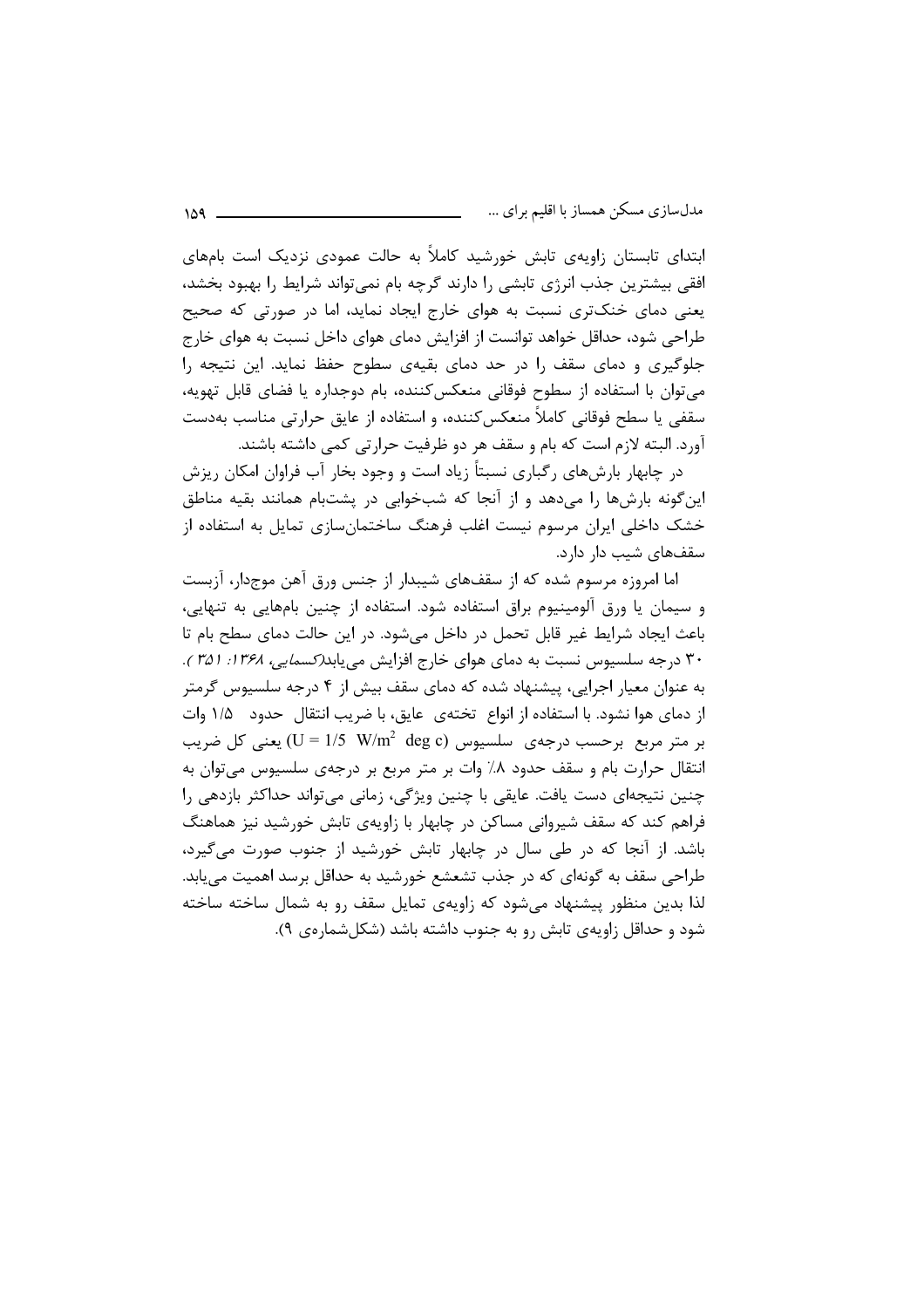ابتدای تابستان زاویهی تابش خورشید کاملاً به حالت عمودی نزدیک است بامهای افقی بیشترین جذب انرژی تابشی را دارند گرچه بام نمی تواند شرایط را بهبود بخشد، یعنی دمای خنکتری نسبت به هوای خارج ایجاد نماید، اما در صورتی که صحیح طراحی شود، حداقل خواهد توانست از افزایش دمای هوای داخل نسبت به هوای خارج جلوگیری و دمای سقف را در حد دمای بقیهی سطوح حفظ نماید. این نتیجه را می توان با استفاده از سطوح فوقانی منعکس کننده، بام دوجداره یا فضای قابل تهویه، سقفی یا سطح فوقانی کاملاً منعکس کننده، و استفاده از عایق حرارتی مناسب بهدست آورد. البته لازم است كه بام و سقف هر دو ظرفيت حرارتي كمي داشته باشند.

در چابهار بارش های رگیاری نسبتاً زیاد است و وجود بخار آب فراوان امکان ریزش این گونه بارشها را میدهد و از آنجا که شبخوابی در پشتبام همانند بقیه مناطق خشک داخلی ایران مرسوم نیست اغلب فرهنگ ساختمانسازی تمایل به استفاده از سقفهای شیب دار دارد.

اما امروزه مرسوم شده که از سقفهای شیبدار از جنس ورق آهن موجدار، آزبست و سیمان یا ورق آلومینیوم براق استفاده شود. استفاده از چنین بامهایی به تنهایی، باعث ایجاد شرایط غیر قابل تحمل در داخل میشود. در این حالت دمای سطح بام تا ۳۰ درجه سلسیوس نسبت به دمای هوای خارج افزایش می یابد*(کسمایی، ۱۳۶۸: ۳۵۱*). به عنوان معیار اجرایی، پیشنهاد شده که دمای سقف بیش از ۴ درجه سلسیوس گرمتر از دمای هوا نشود. با استفاده از انواع تختهی عایق، با ضریب انتقال حدود ۱/۵ وات بر متر مربع برحسب درجهی سلسیوس (U = 1/5  $\,$  W/m $^2$  deg c) یعنی کل ضریب انتقال حرارت بام و سقف حدود ۸٪ وات بر متر مربع بر درجهی سلسیوس میتوان به چنین نتیجهای دست یافت. عایقی با چنین ویژگی، زمانی می تواند حداکثر بازدهی را فراهم کند که سقف شیروانی مساکن در چابهار با زاویهی تابش خورشید نیز هماهنگ باشد. از آنجا که در طی سال در چابهار تابش خورشید از جنوب صورت میگیرد، طراحی سقف به گونهای که در جذب تشعشع خورشید به حداقل برسد اهمیت می یابد. لذا بدین منظور پیشنهاد می شود که زاویهی تمایل سقف رو به شمال ساخته ساخته شود و حداقل زاویهی تابش رو به جنوب داشته باشد (شکل شمارهی ۹).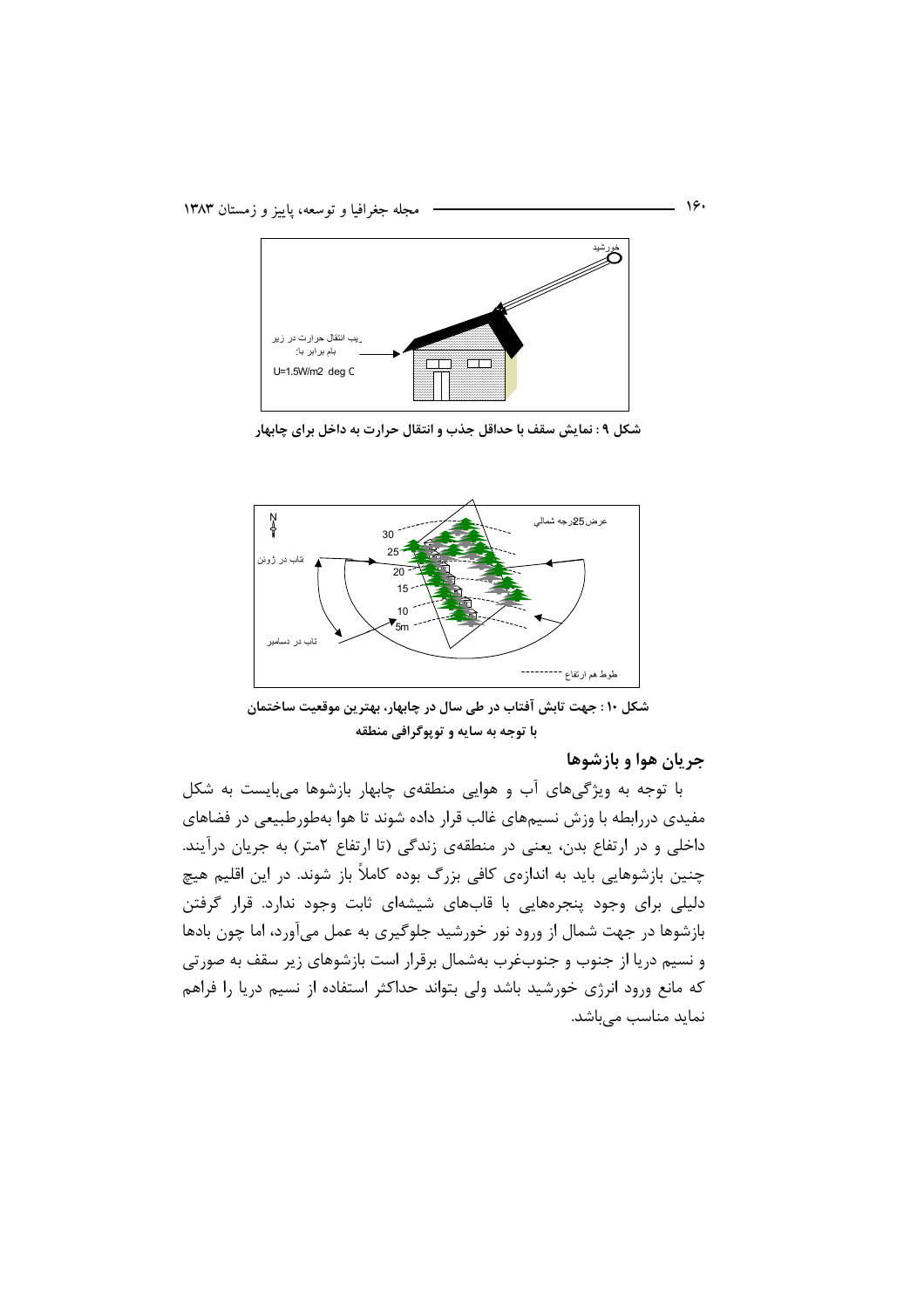

شکل ۹ : نمایش سقف با حداقل جذب و انتقال حرارت به داخل برای چابهار



شکل ۱۰ : جهت تابش آفتاب در طی سال در چابهار، بهترین موقعیت ساختمان با توجه به سایه و توپوگرافی منطقه

جريان هوا و بازشوها

با توجه به ویژگیهای آب و هوایی منطقهی چابهار بازشوها میبایست به شکل مفیدی دررابطه با وزش نسیمهای غالب قرار داده شوند تا هوا بهطورطبیعی در فضاهای داخلی و در ارتفاع بدن، یعنی در منطقهی زندگی (تا ارتفاع ۲متر) به جریان درآیند. چنین بازشوهایی باید به اندازهی کافی بزرگ بوده کاملاً باز شوند. در این اقلیم هیچ دلیلی برای وجود پنجرههایی با قابهای شیشهای ثابت وجود ندارد. قرار گرفتن بازشوها در جهت شمال از ورود نور خورشید جلوگیری به عمل میآورد، اما چون بادها و نسیم دریا از جنوب و جنوبغرب بهشمال برقرار است بازشوهای زیر سقف به صورتی که مانع ورود انرژی خورشید باشد ولی بتواند حداکثر استفاده از نسیم دریا را فراهم نماید مناسب مے باشد.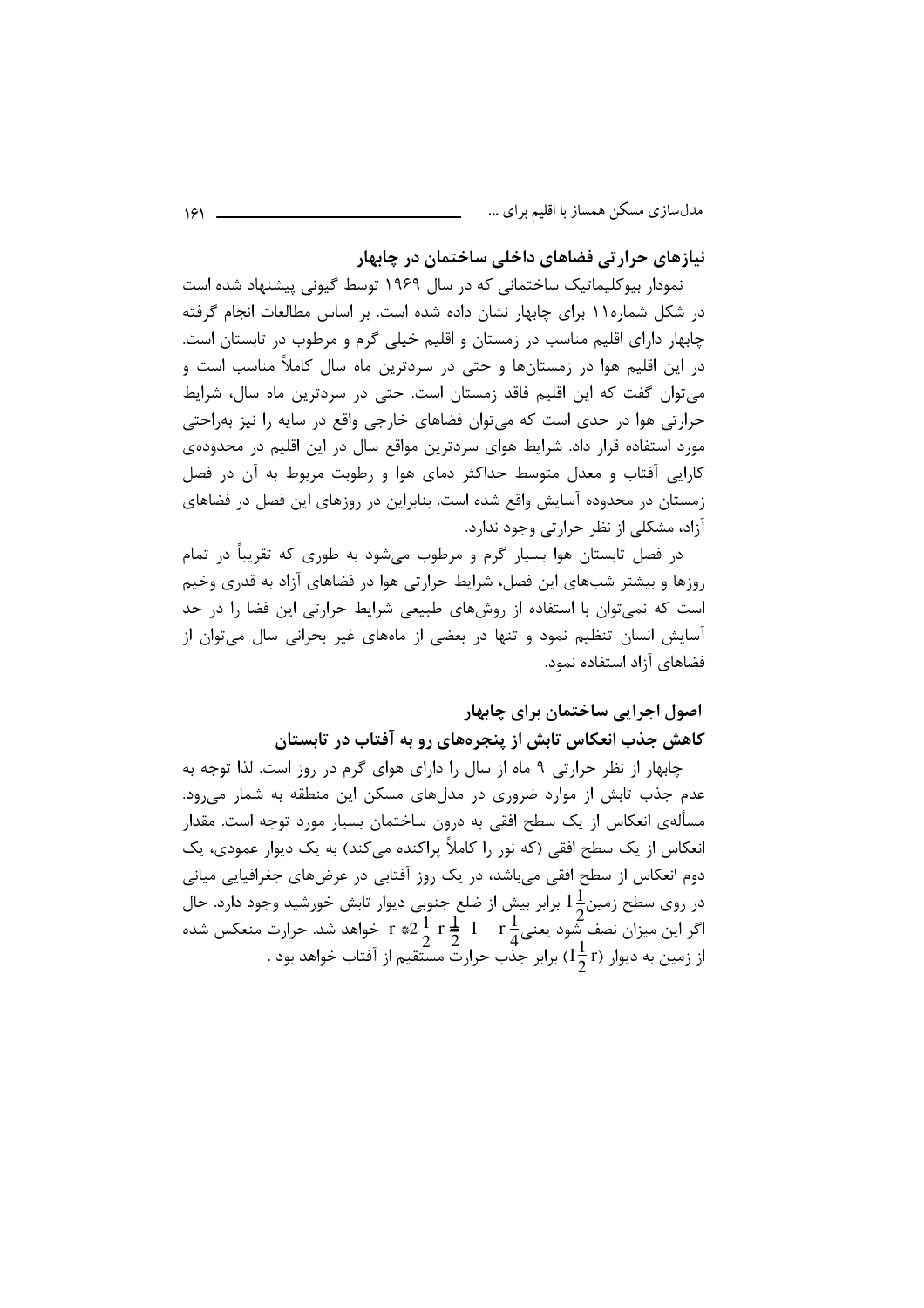نیازهای حرارتی فضاهای داخلی ساختمان در چابهار

نمودار بیوکلیماتیک ساختمانی که در سال ۱۹۶۹ توسط گیونی پیشنهاد شده است در شکل شماره۱۱ برای چابهار نشان داده شده است. بر اساس مطالعات انجام گرفته چابهار دارای اقلیم مناسب در زمستان و اقلیم خیلی گرم و مرطوب در تابستان است. در این اقلیم هوا در زمستانها و حتی در سردترین ماه سال کاملاً مناسب است و می توان گفت که این اقلیم فاقد زمستان است. حتی در سردترین ماه سال، شرایط حرارتی هوا در حدی است که می توان فضاهای خارجی واقع در سایه را نیز به احتی مورد استفاده قرار داد. شرایط هوای سردترین مواقع سال در این اقلیم در محدودهی کارایی آفتاب و معدل متوسط حداکثر دمای هوا و رطوبت مربوط به آن در فصل زمستان در محدوده آسایش واقع شده است. بنابراین در روزهای این فصل در فضاهای آزاد، مشکلی از نظر حرارتی وجود ندارد.

در فصل تابستان هوا بسیار گرم و مرطوب می شود به طوری که تقریباً در تمام روزها و بیشتر شبهای این فصل، شرایط حرارتی هوا در فضاهای آزاد به قدری وخیم است که نمی توان با استفاده از روشهای طبیعی شرایط حرارتی این فضا را در حد آسایش انسان تنظیم نمود و تنها در بعضی از ماههای غیر بحرانی سال میتوان از فضاهای آزاد استفاده نمود.

## اصول اجرایی ساختمان برای چابهار کاهش جذب انعکاس تابش از پنجرههای رو به آفتاب در تابستان

چابهار از نظر حرارتی ۹ ماه از سال را دارای هوای گرم در روز است. لذا توجه به عدم جذب تابش از موارد ضروری در مدلهای مسکن این منطقه به شمار می ود. مسألهى انعكاس از يک سطح افقى به درون ساختمان بسيار مورد توجه است. مقدار انعکاس از یک سطح افقی (که نور را کاملاً پراکنده می کند) به یک دیوار عمودی، یک دوم انعکاس از سطح افقی میباشد، در یک روز آفتابی در عرضهای جغرافیایی میانی در روی سطح زمین $1\frac{1}{\sim}$  برابر بیش از ضلع جنوبی دیوار تابش خورشید وجود دارد. حال اگر این میزان نصف شود یعنی $\frac{1}{2}$  1  $\frac{1}{2}$   $\frac{1}{2}$  \*  $\frac{1}{2}$  = 1 خواهد شد. حرارت منعکس شده از زمین به دیوار (1 1 15) برابر جذب حرارت مسّتقیم از آفتاب خواهد بود .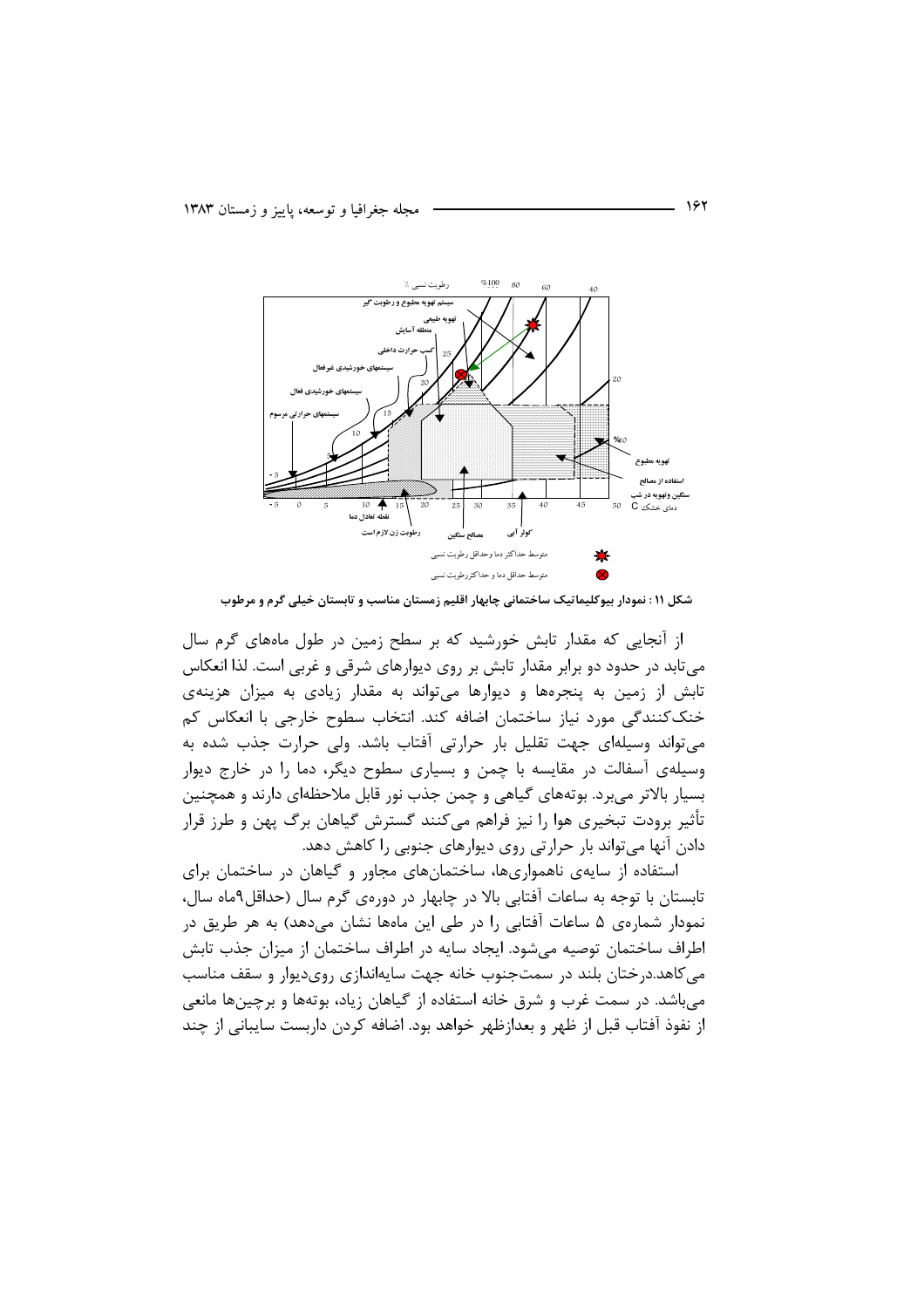

شکل ۱۱ : نمودار بیوکلیماتیک ساختمانی چابهار اقلیم زمستان مناسب و تابستان خیلی گرم و مرطوب

از آنجایی که مقدار تابش خورشید که بر سطح زمین در طول ماههای گرم سال میتابد در حدود دو برابر مقدار تابش بر روی دیوارهای شرقی و غربی است. لذا انعکاس تابش از زمین به پنجرهها و دیوارها می تواند به مقدار زیادی به میزان هزینهی خنککنندگی مورد نیاز ساختمان اضافه کند. انتخاب سطوح خارجی با انعکاس کم می تواند وسیلهای جهت تقلیل بار حرارتی آفتاب باشد. ولی حرارت جذب شده به وسیلهی آسفالت در مقایسه با چمن و بسیاری سطوح دیگر، دما را در خارج دیوار بسیار بالاتر می برد. بوتههای گیاهی و چمن جذب نور قابل ملاحظهای دارند و همچنین تأثیر برودت تبخیری هوا را نیز فراهم می کنند گسترش گیاهان برگ پهن و طرز قرار دادن آنها می تواند بار حرارتی روی دیوارهای جنوبی را کاهش دهد.

استفاده از سایهی ناهمواریها، ساختمانهای مجاور و گیاهان در ساختمان برای تابستان با توجه به ساعات آفتابی بالا در چابهار در دورهی گرم سال (حداقل۹ماه سال، نمودار شمارهی ۵ ساعات آفتابی را در طی این ماهها نشان میدهد) به هر طریق در اطراف ساختمان توصیه میشود. ایجاد سایه در اطراف ساختمان از میزان جذب تابش می کاهد.درختان بلند در سمتجنوب خانه جهت سایهاندازی رویدیوار و سقف مناسب میباشد. در سمت غرب و شرق خانه استفاده از گیاهان زیاد، بوتهها و برچینها مانعی از نفوذ آفتاب قبل از ظهر و بعدازظهر خواهد بود. اضافه کردن داربست سایبانی از چند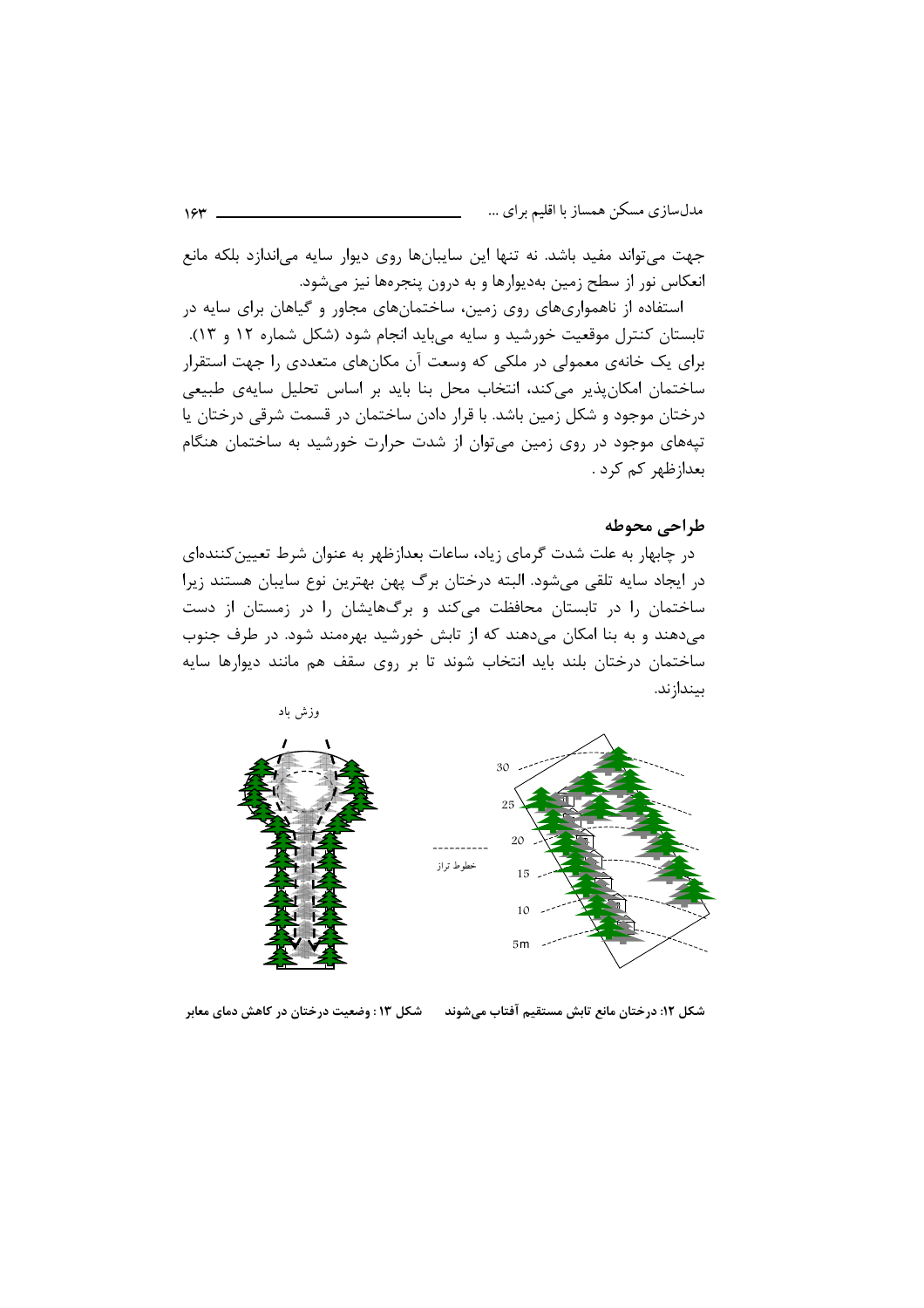جهت می تواند مفید باشد. نه تنها این سایبانها روی دیوار سایه میاندازد بلکه مانع انعکاس نور از سطح زمین بهدیوارها و به درون پنجرهها نیز میشود.

استفاده از ناهمواریهای روی زمین، ساختمانهای مجاور و گیاهان برای سایه در تابستان کنترل موقعیت خورشید و سایه میباید انجام شود (شکل شماره ۱۲ و ۱۳). برای یک خانهی معمولی در ملکی که وسعت آن مکانهای متعددی را جهت استقرار ساختمان امکانپذیر میکند، انتخاب محل بنا باید بر اساس تحلیل سایهی طبیعی درختان موجود و شکل زمین باشد. با قرار دادن ساختمان در قسمت شرقی درختان یا تپههای موجود در روی زمین می توان از شدت حرارت خورشید به ساختمان هنگام بعدا;ظهر کم کرد .

## طراحي محوطه

در چابهار به علت شدت گرمای زیاد، ساعات بعدازظهر به عنوان شرط تعیین کنندهای در ایجاد سایه تلقی میشود. البته درختان برگ پهن بهترین نوع سایبان هستند زیرا ساختمان را در تابستان محافظت میکند و برگهایشان را در زمستان از دست میدهند و به بنا امکان میدهند که از تابش خورشید بهرهمند شود. در طرف جنوب ساختمان درختان بلند باید انتخاب شوند تا بر روی سقف هم مانند دیوارها سایه بيندازند.



شکل ۱۲: درختان مانع تابش مستقیم آفتاب میشوند مسلسل ۱۳: وضعیت درختان در کاهش دمای معابر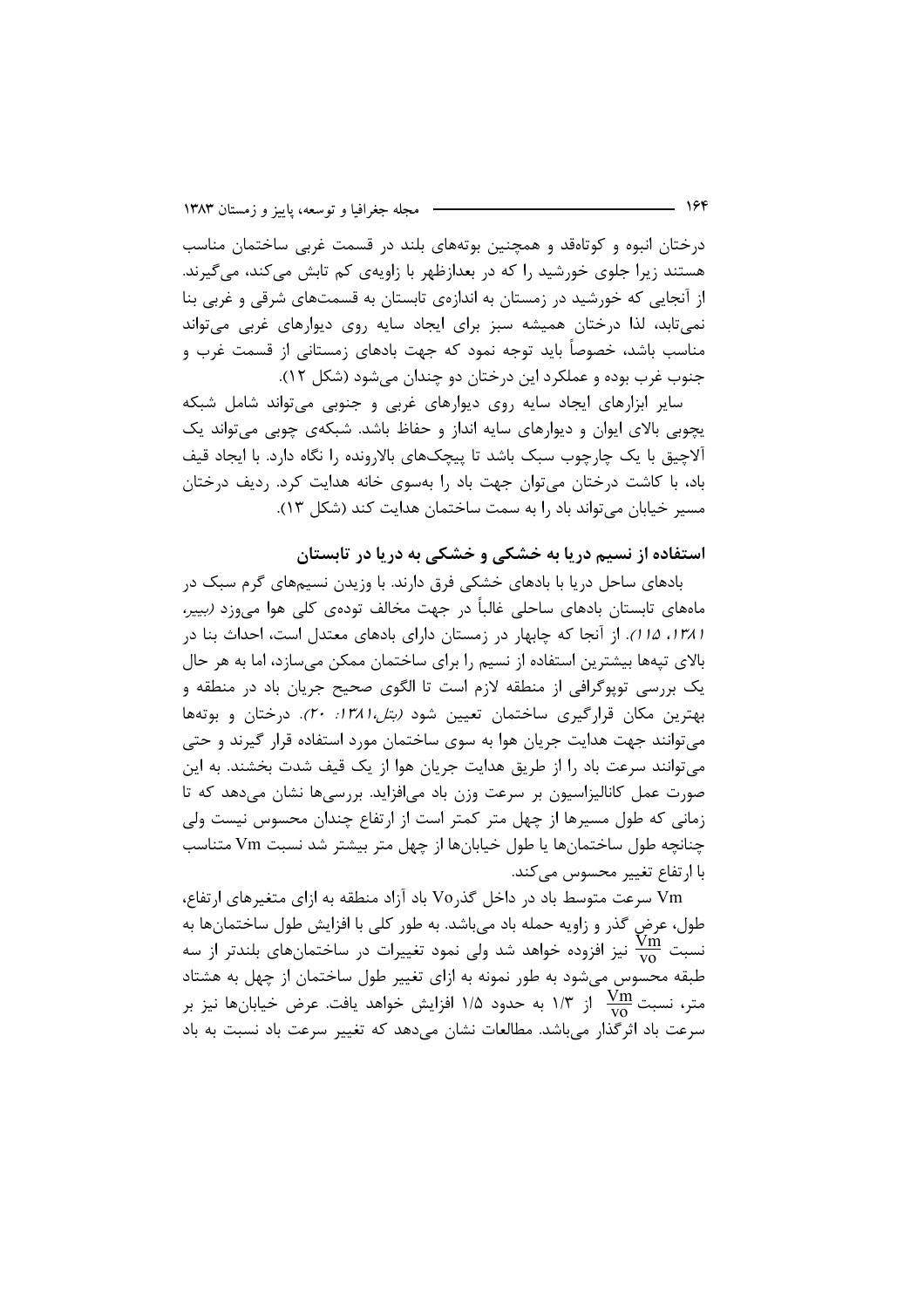درختان انبوه و کوتاهقد و همچنین بوتههای بلند در قسمت غربی ساختمان مناسب هستند زیرا جلوی خورشید را که در بعدازظهر با زاویهی کم تابش می کند، می گیرند. از آنجایی که خورشید در زمستان به اندازهی تابستان به قسمتهای شرقی و غربی بنا نمی تابد، لذا درختان همیشه سبز برای ایجاد سایه روی دیوارهای غربی می تواند مناسب باشد، خصوصاً باید توجه نمود که جهت بادهای زمستانی از قسمت غرب و جنوب غرب بوده و عملکر د این درختان دو چندان می شود (شکل ۱۲).

سایر ابزارهای ایجاد سایه روی دیوارهای غربی و جنوبی می تواند شامل شبکه یچوبی بالای ایوان و دیوارهای سایه انداز و حفاظ باشد. شبکهی چوبی میتواند یک آلاچیق با یک چارچوب سبک باشد تا پیچکهای بالارونده را نگاه دارد. با ایجاد قیف باد، با کاشت درختان می توان جهت باد را بهسوی خانه هدایت کرد. ردیف درختان مسير خيابان مي تواند باد را به سمت ساختمان هدايت كند (شكل ١٣).

## استفاده از نسیم دریا به خشکی و خشکی به دریا در تابستان

بادهای ساحل دریا با بادهای خشکی فرق دارند. با وزیدن نسیمهای گرم سبک در مامهای تابستان بادهای ساحلی غالباً در جهت مخالف تودهی کلی هوا میوزد *(بییر*، / ١٣٨، ١٥/). از آنجا كه چابهار در زمستان داراى بادهاى معتدل است، احداث بنا در بالای تپهها بیشترین استفاده از نسیم را برای ساختمان ممکن میسازد، اما به هر حال یک بررسی توپوگرافی از منطقه لازم است تا الگوی صحیح جریان باد در منطقه و بهترین مکان قرارگیری ساختمان تعیین شود *(بتل،۱۳۸۱: ۲۰)*. درختان و بوتهها می توانند جهت هدایت جریان هوا به سوی ساختمان مورد استفاده قرار گیرند و حتی می توانند سرعت باد را از طریق هدایت جریان هوا از یک قیف شدت بخشند. به این صورت عمل کانالیزاسیون بر سرعت وزن باد می|فزاید. بررسیها نشان میدهد که تا زمانی که طول مسیرها از چهل متر کمتر است از ارتفاع چندان محسوس نیست ولی چنانچه طول ساختمانها یا طول خیابانها از چهل متر بیشتر شد نسبت Vm متناسب با ارتفاع تغییر محسوس مے کند.

Vm سرعت متوسط باد در داخل گذر Vo باد آزاد منطقه به ازای متغیرهای ارتفاع، طول، عرض گذر و زاویه حمله باد میباشد. به طور کلی با افزایش طول ساختمانها به نسبت  $\frac{\text{v} \text{m}}{\text{v} \text{o}}$  نیز افزوده خواهد شد ولی نمود تغییرات در ساختمانهای بلندتر از سه طبقه محسوس میشود به طور نمونه به ازای تغییر طول ساختمان از چهل به هشتاد متر، نسبت  $\frac{\text{Vm}}{\text{vo}}$  از ۱/۳ به حدود ۱/۵ افزایش خواهد یافت. عرض خیابانها نیز بر سرعت باد اثرگذار میباشد. مطالعات نشان میدهد که تغییر سرعت باد نسبت به باد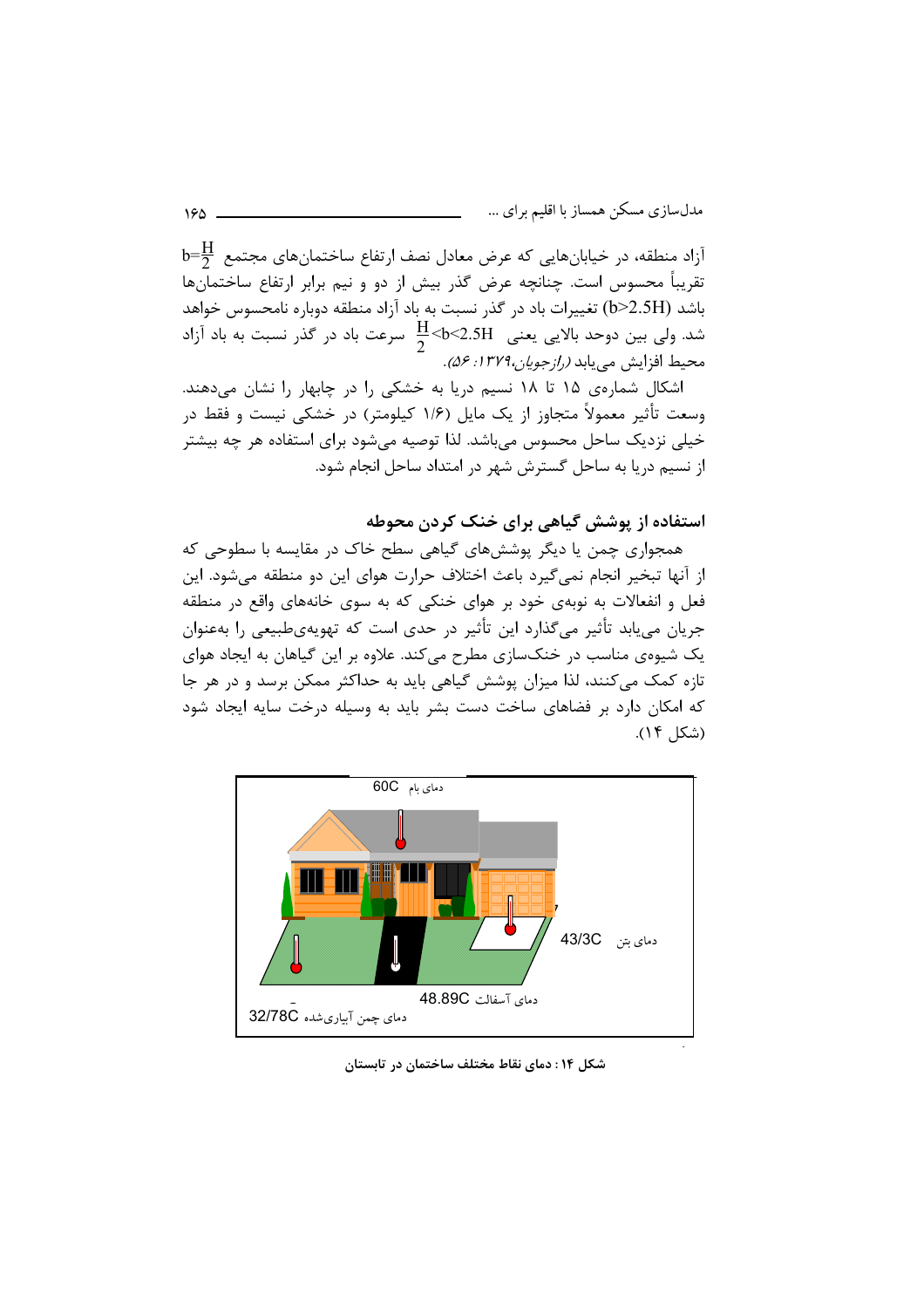$\mathrm{b}$ آزاد منطقه، در خیابانهایی که عرض معادل نصف ارتفاع ساختمانهای مجتمع  $\frac{\mathrm{H}}{2}$ تقریباً محسوس است. چنانچه عرض گذر بیش از دو و نیم برابر ارتفاع ساختمانها باشد (b>2.5H) تغییرات باد در گذر نسبت به باد آزاد منطقه دوباره نامحسوس خواهد شد. ولی بین دوحد بالایی یعنی  $\frac{\text{H}}{2}$ <b<2.5H سرعت باد در گذر نسبت به باد آزاد محيط افزايش من بايد (1/ جوبل: ١٣٧٩. : ٤٥).

اشکال شمارهی ۱۵ تا ۱۸ نسیم دریا به خشکی را در چابهار را نشان میدهند. وسعت تأثیر معمولاً متجاوز از یک مایل (۱/۶ کیلومتر) در خشکی نیست و فقط در خیلی نزدیک ساحل محسوس می,باشد. لذا توصیه می,شود برای استفاده هر چه بیشتر از نسیم دریا به ساحل گسترش شهر در امتداد ساحل انجام شود.

استفاده از پوشش گیاهی برای خنک کردن محوطه

همجواری چمن یا دیگر پوششهای گیاهی سطح خاک در مقایسه با سطوحی که از آنها تبخیر انجام نمی گیرد باعث اختلاف حرارت هوای این دو منطقه می شود. این فعل و انفعالات به نوبهی خود بر هوای خنکی که به سوی خانههای واقع در منطقه جریان می یابد تأثیر میگذارد این تأثیر در حدی است که تهویهی طبیعی را بهعنوان یک شیوهی مناسب در خنکسازی مطرح میکند. علاوه بر این گیاهان به ایجاد هوای تازه کمک می کنند، لذا میزان پوشش گیاهی باید به حداکثر ممکن برسد و در هر جا که امکان دارد بر فضاهای ساخت دست بشر باید به وسیله درخت سایه ایجاد شود (شكل ١۴).



شکل ۱۴ : دمای نقاط مختلف ساختمان در تابستان

184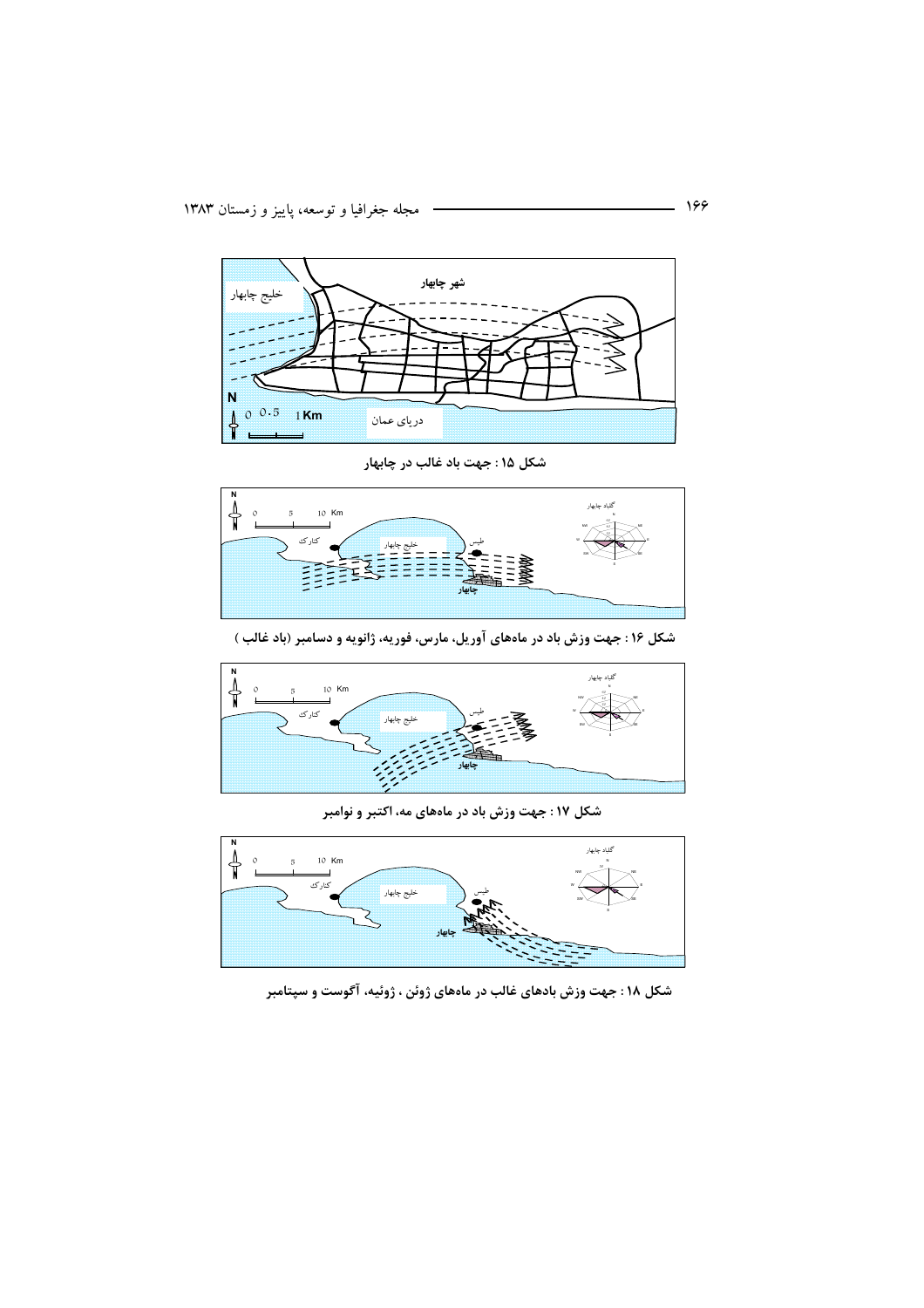

شکل ۱۵ : جهت باد غالب در چابهار



شکل ۱۶ : جهت وزش باد در ماههای آوریل، مارس، فوریه، ژانویه و دسامبر (باد غالب )



شکل ۱۷ : جهت وزش باد در ماههای مه، اکتبر و نوامبر



شکل ۱۸: جهت وزش بادهای غالب در ماههای ژوئن ، ژوئیه، آگوست و سپتامبر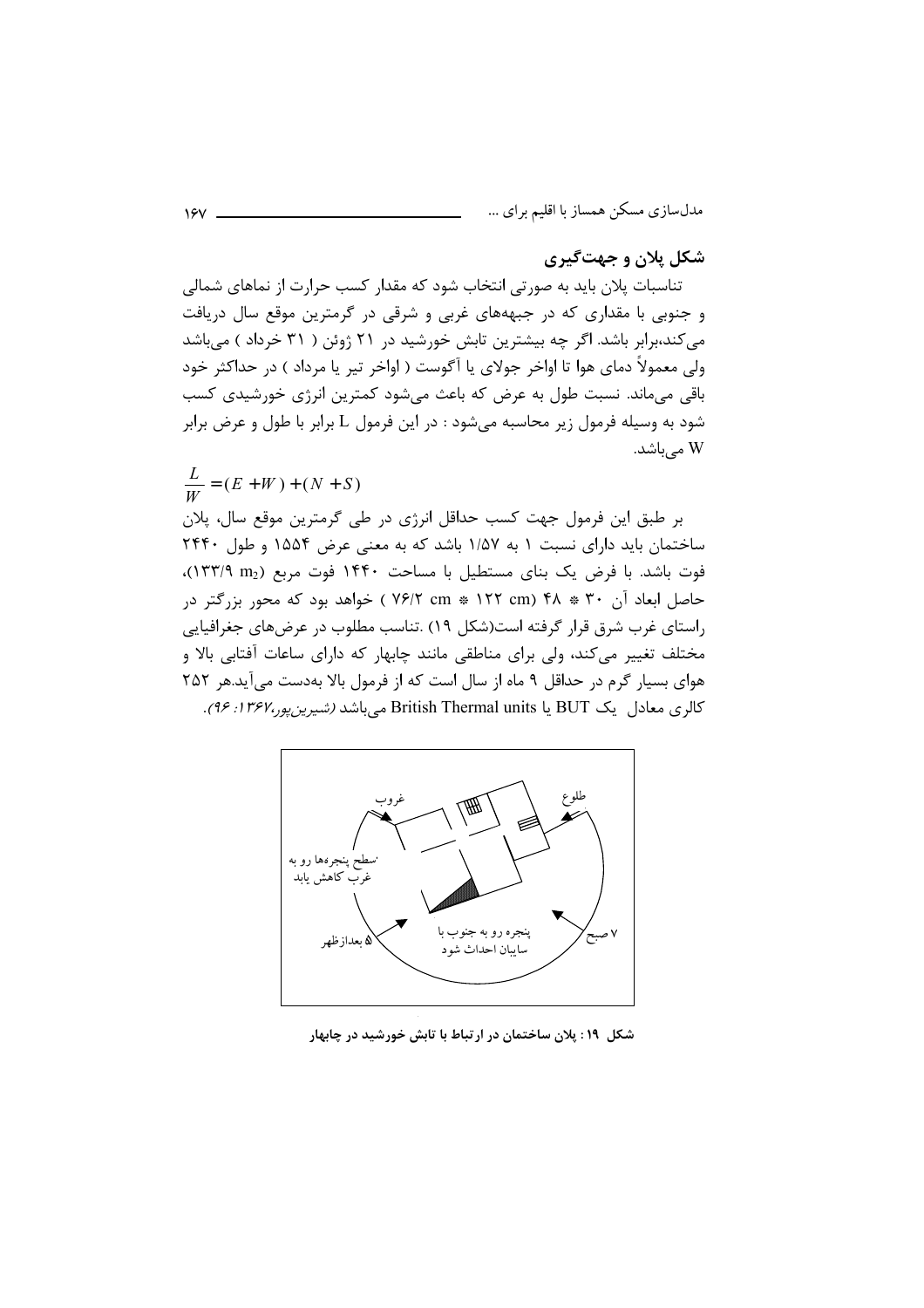## شکل پلان و جهتگیری

تناسبات پلان باید به صورتی انتخاب شود که مقدار کسب حرارت از نماهای شمالی و جنوبی با مقداری که در جبهههای غربی و شرقی در گرمترین موقع سال دریافت می کند،برابر باشد. اگر چه بیشترین تابش خورشید در ۲۱ ژوئن ( ۳۱ خرداد ) میباشد ولي معمولاً دماي هوا تا اواخر جولاي يا آگوست ( اواخر تير يا مرداد ) در حداكثر خود باقی میماند. نسبت طول به عرض که باعث میشود کمترین انرژی خورشیدی کسب شود به وسیله فرمول زیر محاسبه میشود : در این فرمول L برابر با طول و عرض برابر W مے باشد.

$$
\frac{L}{W} = (E + W) + (N + S)
$$
\n۰۰ 14.43

\n۲۰ 25.444

\n۰۰ 46.45

\n۰۰۰ 47.47

\n۰۰۰ 49.49

\n۲۵۵۴ و طول ۱۴۴۰۰ 4, 25.44

\n۰۰۴۰۰ 49.54

\n۰۰۰۰ 49.64

\n۰۰۹۰۰ 49.74

\n۰۵۰۰ 49.74

\n۰۰ (۱۳۲۹ 111

\n۰۰ (۱۳۸۹ 111

\n۰۰ (۱۳۸۹ 111

\n۰۰ (۱۳۸ 111

\n۰۰ (۲۴ 111

\n۰۰ (19.45)

\n۰۰ (19.54)

\n۰۰ (19.64)

\n۰۰ (19.74)

\n۰ (19.74)

\n۰ (19.74)

\n۰ (19.74)

\n۰ (19.74)

\n۰ (19.74)

\n۰ (19.74)

\n۰ (19.74)

\n۰ (19.74)

\n۰ (19.74)

\n۰ (19.74)

\n۰ (19.74)

\n۰ (19.74)

\n۰ (19.74)

\n۰ (19.74)

\n۸ (19.74)

\n۸ (19.74)

\n۸ (19.74)

\n۸ (19.74)

\n۸ (19.74)

\n۸ (19.74)

\n۸ (19.74)

\n۸ (19.74)

\n۸ (19.74)

\n۸ (19.74)

\n۸ (19.74)

\n۸ (19.



شکل ۱۹: پلان ساختمان در ارتباط با تابش خورشید در چابهار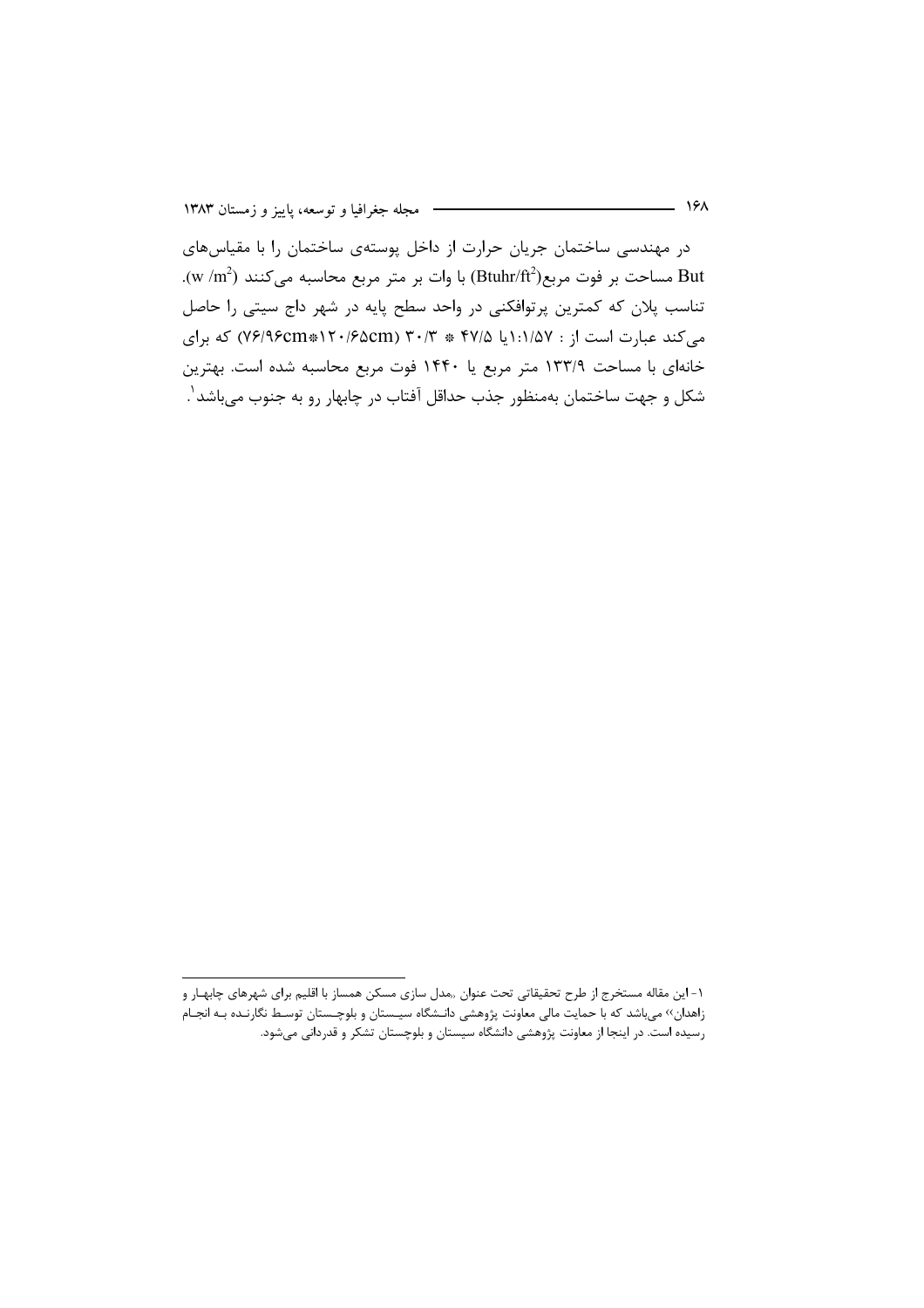در مهندسی ساختمان جریان حرارت از داخل پوستهی ساختمان را با مقیاس های .(w /m2) مساحت بر فوت مربع(Btuhr/ft2) با وات بر متر مربع محاسبه میکنند (w /m2). تناسب پلان که کمترین پرتوافکنی در واحد سطح پایه در شهر داج سیتی را حاصل می کند عبارت است از : ۱:۱/۵۷ \* ۲۷/۵ \* ۳۰/۳ (۷۶/۹۶cm\*۱۲۰/۶۵cm) که برای خانهای با مساحت ۱۳۳/۹ متر مربع یا ۱۴۴۰ فوت مربع محاسبه شده است. بهترین شکل و جهت ساختمان بهمنظور جذب حداقل آفتاب در چابهار رو به جنوب می،باشد ٰ.

۱- این مقاله مستخرج از طرح تحقیقاتی تحت عنوان ٫٫مدل سازی مسکن همساز با اقلیم برای شهرهای چابهـار و زاهدان›› میباشد که با حمایت مالی معاونت پژوهشی دانـشگاه سیـستان و بلوچـستان توسـط نگارنـده بـه انجـام رسیده است. در اینجا از معاونت پژوهشی دانشگاه سیستان و بلوچستان تشکر و قدردانی میشود.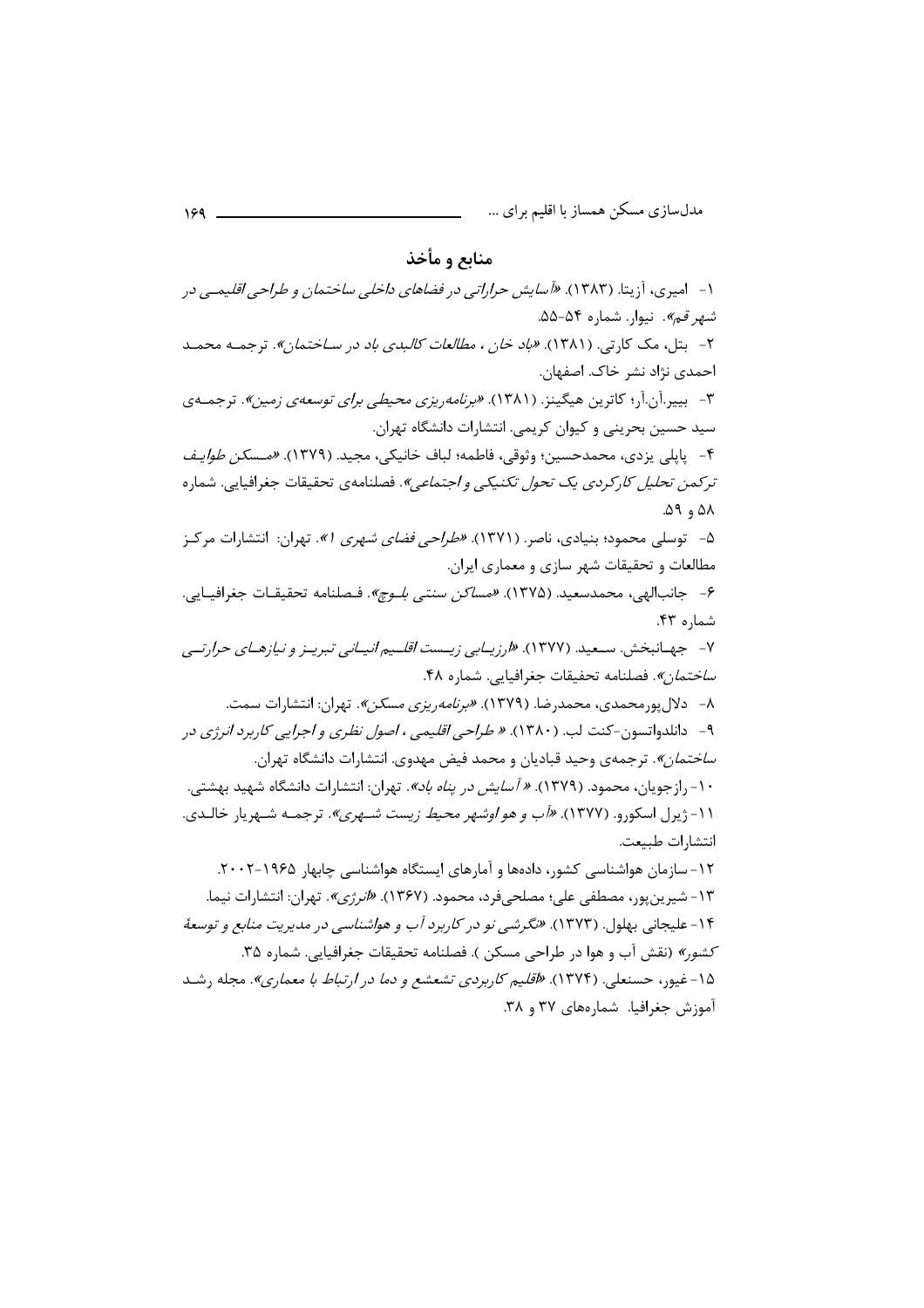#### منابع و مأخذ

۱- امیری، آزیتا. (۱۳۸۳). *«آسایش حراراتی در فضاهای داخلی ساختمان و طراحی اقلیم*ی در شهر قم». نیوار. شماره ۵۴–۵۵. ۲- بتل، مک کارتی. (۱۳۸۱). *«باد خان ، مطالعات کالبدی باد در سـاختمان»*. ترجمـه محمـد احمدي نژاد نشر خاک. اصفهان. ۳- بییدآن.آر؛ کاترین هیگینز. (۱۳۸۱). *«برنامه ریزی محیطی برای توسعهی زمین»*. ترجمـهی سید حسین بحرینی و کیوان کریمی. انتشارات دانشگاه تهران. ۴- پایلی یزدی، محمدحسین؛ وثوقی، فاطمه؛ لباف خانیکی، مجید. (۱۳۷۹). *«مـسکن طوایـف* ترکمی*ن تحلیل کا*رکردی یک ت*حول تکنیکی و اجتماعی»*. فصلنامهی تحقیقات جغرافیایی. شماره  $\Delta$ ۹, ۵۸ ۵- توسلی محمود؛ بنیادی، ناصر. (۱۳۷۱). *«طراحی فضای شهری ۹».* تهران: انتشارات مرکـز مطالعات و تحقیقات شهر سازی و معماری ایران. ۶- جانبالهي، محمدسعيد. (١٣٧۵). *«مساكن سنتي بلـوچ»*. فـصلنامه تحقيقـات جغرافيــايي. شماره ۴۳. ۷- جهـانبخش. سـعید. (۱۳۷۷). *«ارزیـابی زیـست اقلـیم انیـانی تبریـز و نیازهـای حرارتـی ساختمان».* فصلنامه تحفيقات جغرافيايي. شماره ۴۸. ۸- دلال پورمحمدی، محمدرضا. (۱۳۷۹). *«برنامه ریزی مسکن»*. تهران: انتشارات سمت. ۹- دانلدواتسون-کنت لب. (۱۳۸۰). *« طراحي اقليمي ، اصول نظري و اجرايي کاربرد انر ژي* در *ساختمان»*. ترجمهی وحید قبادیان و محمد فیض مهدوی. انتشارات دانشگاه تهران. ۱۰- رازجویان، محمود. (۱۳۷۹). *« آسایش در یناه باد»*. تهران: انتشارات دانشگاه شهید بهشتی. ۰۱۱- ژیرل اسکورو. (۱۳۷۷). *«آب و هو اوشهر محیط زیست شـهری»*. ترجمـه شـهریار خالـدی. انتشارات طبيعت. ۱۲- سازمان هواشناسی کشور، دادهها و آمارهای ایستگاه هواشناسی چابهار ۱۹۶۵-۲۰۰۲. ۱۳- شیرین یور، مصطفی علی؛ مصلحی فرد، محمود. (۱۳۶۷). *«انرژی»*. تهران: انتشارات نیما. ۱۴- علیجانی بهلول. (۱۳۷۳). *«نگرشی نو در کاربرد آب و هواشناسی در مدیریت منابع و توسعهٔ* كشور» (نقش آب و هوا در طراحی مسكن ). فصلنامه تحقيقات جغرافيايي. شماره ۳۵.

۱۵-غیو<sub>۱</sub>، حسنعلی. (۱۳۷۴). *«اقلیم کاربردی تشعشع و دما در ارتباط با معماری»*. مجله رشـد آموزش جغرافیا. شمارههای ۳۷ و ۳۸.